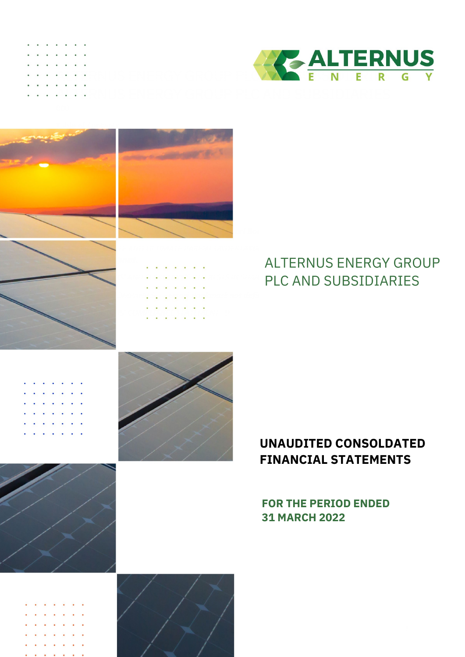|   |  | . |  |                  |  |  |
|---|--|---|--|------------------|--|--|
|   |  |   |  | <b>AZ ALTERI</b> |  |  |
| . |  |   |  | <b>VENER</b>     |  |  |
|   |  | . |  |                  |  |  |
|   |  | . |  |                  |  |  |



<span id="page-0-0"></span>

# ALTERNUS ENERGY GROUP

# **UNAUDITED CONSOLDATED FINANCIAL STATEMENTS**

# **FOR THE PERIOD ENDED 31 MARCH 2022**

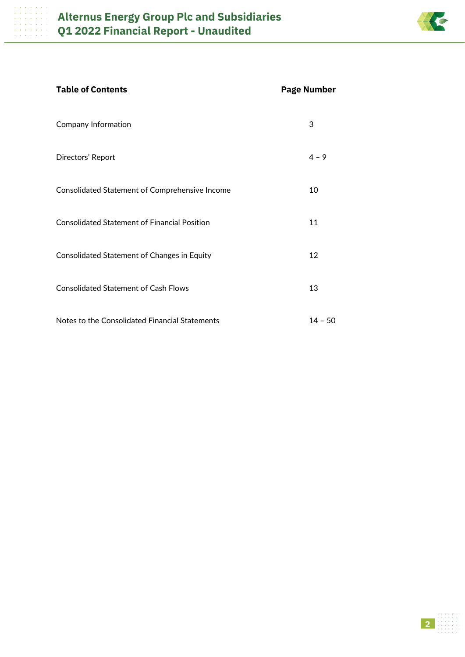

# <span id="page-1-0"></span>**Table of Contents Page Number** Company Information 3 Directors' Report 4 – 9 Consolidated Statement of Comprehensive Income 10 Consolidated Statement of Financial Position 11 Consolidated Statement of Changes in Equity 12 **Consolidated Statement of Cash Flows 13** Notes to the Consolidated Financial Statements 14 – 50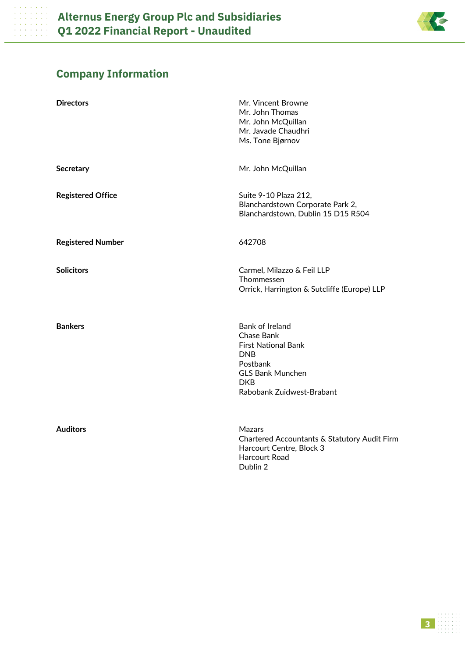

# **Company Information**

ana<br>ana a<br>ana a

| <b>Directors</b>         | Mr. Vincent Browne<br>Mr. John Thomas<br>Mr. John McQuillan<br>Mr. Javade Chaudhri<br>Ms. Tone Bjørnov                                                             |
|--------------------------|--------------------------------------------------------------------------------------------------------------------------------------------------------------------|
| Secretary                | Mr. John McQuillan                                                                                                                                                 |
| <b>Registered Office</b> | Suite 9-10 Plaza 212,<br>Blanchardstown Corporate Park 2,<br>Blanchardstown, Dublin 15 D15 R504                                                                    |
| <b>Registered Number</b> | 642708                                                                                                                                                             |
| <b>Solicitors</b>        | Carmel, Milazzo & Feil LLP<br>Thommessen<br>Orrick, Harrington & Sutcliffe (Europe) LLP                                                                            |
| <b>Bankers</b>           | <b>Bank of Ireland</b><br>Chase Bank<br><b>First National Bank</b><br><b>DNB</b><br>Postbank<br><b>GLS Bank Munchen</b><br><b>DKB</b><br>Rabobank Zuidwest-Brabant |
| <b>Auditors</b>          | <b>Mazars</b><br>Chartered Accountants & Statutory Audit Firm<br>Harcourt Centre, Block 3<br><b>Harcourt Road</b><br>Dublin 2                                      |

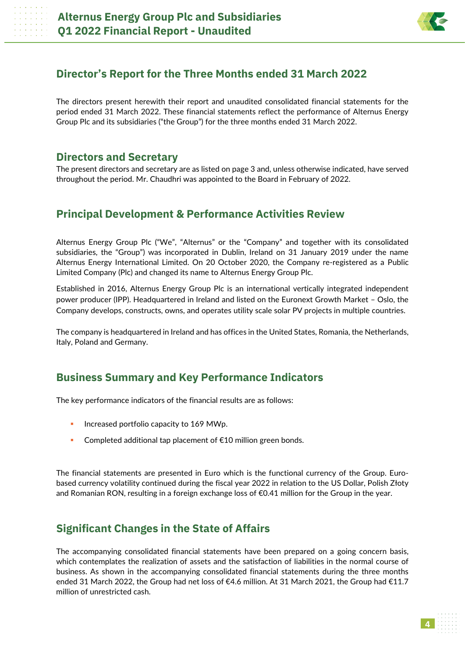

## **Director's Report for the Three Months ended 31 March 2022**

The directors present herewith their report and unaudited consolidated financial statements for the period ended 31 March 2022. These financial statements reflect the performance of Alternus Energy Group Plc and its subsidiaries ("the Group") for the three months ended 31 March 2022.

## **Directors and Secretary**

The present directors and secretary are as listed on page 3 and, unless otherwise indicated, have served throughout the period. Mr. Chaudhri was appointed to the Board in February of 2022.

## **Principal Development & Performance Activities Review**

Alternus Energy Group Plc ("We", "Alternus" or the "Company" and together with its consolidated subsidiaries, the "Group") was incorporated in Dublin, Ireland on 31 January 2019 under the name Alternus Energy International Limited. On 20 October 2020, the Company re-registered as a Public Limited Company (Plc) and changed its name to Alternus Energy Group Plc.

Established in 2016, Alternus Energy Group Plc is an international vertically integrated independent power producer (IPP). Headquartered in Ireland and listed on the Euronext Growth Market – Oslo, the Company develops, constructs, owns, and operates utility scale solar PV projects in multiple countries.

The company is headquartered in Ireland and has offices in the United States, Romania, the Netherlands, Italy, Poland and Germany.

## **Business Summary and Key Performance Indicators**

The key performance indicators of the financial results are as follows:

- **Increased portfolio capacity to 169 MWp.**
- Completed additional tap placement of €10 million green bonds.

The financial statements are presented in Euro which is the functional currency of the Group. Eurobased currency volatility continued during the fiscal year 2022 in relation to the US Dollar, Polish Złoty and Romanian RON, resulting in a foreign exchange loss of €0.41 million for the Group in the year.

## **Significant Changes in the State of Affairs**

The accompanying consolidated financial statements have been prepared on a going concern basis, which contemplates the realization of assets and the satisfaction of liabilities in the normal course of business. As shown in the accompanying consolidated financial statements during the three months ended 31 March 2022, the Group had net loss of €4.6 million. At 31 March 2021, the Group had €11.7 million of unrestricted cash.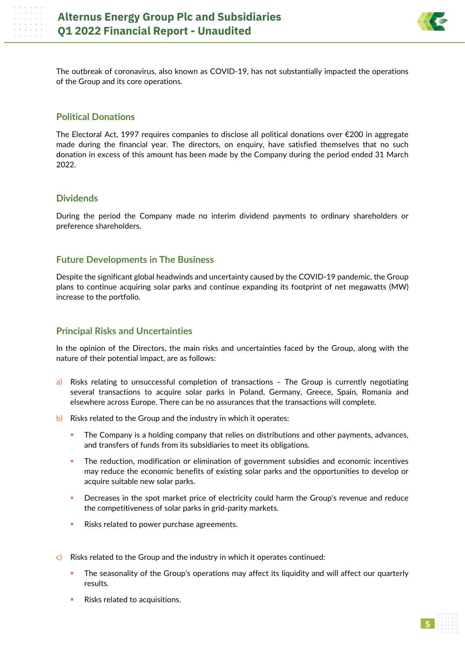

The outbreak of coronavirus, also known as COVID-19, has not substantially impacted the operations of the Group and its core operations.

## **Political Donations**

The Electoral Act, 1997 requires companies to disclose all political donations over €200 in aggregate made during the financial year. The directors, on enquiry, have satisfied themselves that no such donation in excess of this amount has been made by the Company during the period ended 31 March 2022.

#### **Dividends**

During the period the Company made no interim dividend payments to ordinary shareholders or preference shareholders.

## **Future Developments in The Business**

Despite the significant global headwinds and uncertainty caused by the COVID-19 pandemic, the Group plans to continue acquiring solar parks and continue expanding its footprint of net megawatts (MW) increase to the portfolio.

## **Principal Risks and Uncertainties**

In the opinion of the Directors, the main risks and uncertainties faced by the Group, along with the nature of their potential impact, are as follows:

- a) Risks relating to unsuccessful completion of transactions The Group is currently negotiating several transactions to acquire solar parks in Poland, Germany, Greece, Spain, Romania and elsewhere across Europe. There can be no assurances that the transactions will complete.
- b) Risks related to the Group and the industry in which it operates:
	- The Company is a holding company that relies on distributions and other payments, advances, and transfers of funds from its subsidiaries to meet its obligations.
	- The reduction, modification or elimination of government subsidies and economic incentives may reduce the economic benefits of existing solar parks and the opportunities to develop or acquire suitable new solar parks.
	- Decreases in the spot market price of electricity could harm the Group's revenue and reduce the competitiveness of solar parks in grid-parity markets.
	- Risks related to power purchase agreements.
- $\overline{c}$  Risks related to the Group and the industry in which it operates continued:
	- The seasonality of the Group's operations may affect its liquidity and will affect our quarterly results.
	- Risks related to acquisitions.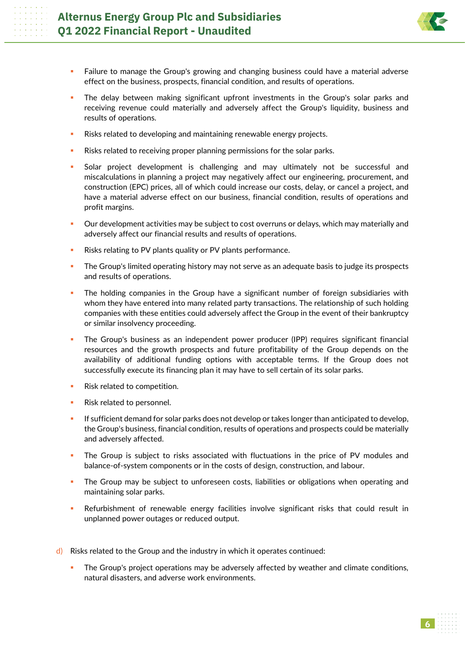

- **Failure to manage the Group's growing and changing business could have a material adverse** effect on the business, prospects, financial condition, and results of operations.
- **The delay between making significant upfront investments in the Group's solar parks and** receiving revenue could materially and adversely affect the Group's liquidity, business and results of operations.
- **Risks related to developing and maintaining renewable energy projects.**
- **Risks related to receiving proper planning permissions for the solar parks.**
- Solar project development is challenging and may ultimately not be successful and miscalculations in planning a project may negatively affect our engineering, procurement, and construction (EPC) prices, all of which could increase our costs, delay, or cancel a project, and have a material adverse effect on our business, financial condition, results of operations and profit margins.
- Our development activities may be subject to cost overruns or delays, which may materially and adversely affect our financial results and results of operations.
- Risks relating to PV plants quality or PV plants performance.
- The Group's limited operating history may not serve as an adequate basis to judge its prospects and results of operations.
- **The holding companies in the Group have a significant number of foreign subsidiaries with** whom they have entered into many related party transactions. The relationship of such holding companies with these entities could adversely affect the Group in the event of their bankruptcy or similar insolvency proceeding.
- The Group's business as an independent power producer (IPP) requires significant financial resources and the growth prospects and future profitability of the Group depends on the availability of additional funding options with acceptable terms. If the Group does not successfully execute its financing plan it may have to sell certain of its solar parks.
- Risk related to competition.
- **Risk related to personnel.**
- If sufficient demand for solar parks does not develop or takes longer than anticipated to develop, the Group's business, financial condition, results of operations and prospects could be materially and adversely affected.
- The Group is subject to risks associated with fluctuations in the price of PV modules and balance-of-system components or in the costs of design, construction, and labour.
- **The Group may be subject to unforeseen costs, liabilities or obligations when operating and** maintaining solar parks.
- Refurbishment of renewable energy facilities involve significant risks that could result in unplanned power outages or reduced output.
- d) Risks related to the Group and the industry in which it operates continued:
	- The Group's project operations may be adversely affected by weather and climate conditions, natural disasters, and adverse work environments.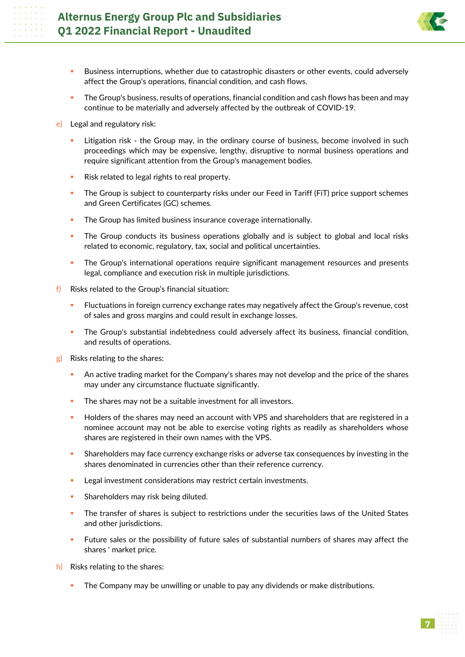

- **Business interruptions, whether due to catastrophic disasters or other events, could adversely** affect the Group's operations, financial condition, and cash flows.
- **The Group's business, results of operations, financial condition and cash flows has been and may** continue to be materially and adversely affected by the outbreak of COVID-19.
- e) Legal and regulatory risk:
	- Litigation risk the Group may, in the ordinary course of business, become involved in such proceedings which may be expensive, lengthy, disruptive to normal business operations and require significant attention from the Group's management bodies.
	- **Risk related to legal rights to real property.**
	- **The Group is subject to counterparty risks under our Feed in Tariff (FiT) price support schemes** and Green Certificates (GC) schemes.
	- **The Group has limited business insurance coverage internationally.**
	- The Group conducts its business operations globally and is subject to global and local risks related to economic, regulatory, tax, social and political uncertainties.
	- The Group's international operations require significant management resources and presents legal, compliance and execution risk in multiple jurisdictions.
- f) Risks related to the Group's financial situation:
	- Fluctuations in foreign currency exchange rates may negatively affect the Group's revenue, cost of sales and gross margins and could result in exchange losses.
	- The Group's substantial indebtedness could adversely affect its business, financial condition, and results of operations.
- g) Risks relating to the shares:
	- An active trading market for the Company's shares may not develop and the price of the shares may under any circumstance fluctuate significantly.
	- The shares may not be a suitable investment for all investors.
	- **Holders of the shares may need an account with VPS and shareholders that are registered in a** nominee account may not be able to exercise voting rights as readily as shareholders whose shares are registered in their own names with the VPS.
	- Shareholders may face currency exchange risks or adverse tax consequences by investing in the shares denominated in currencies other than their reference currency.
	- Legal investment considerations may restrict certain investments.
	- **Shareholders may risk being diluted.**
	- The transfer of shares is subject to restrictions under the securities laws of the United States and other jurisdictions.
	- Future sales or the possibility of future sales of substantial numbers of shares may affect the shares ' market price.
- h) Risks relating to the shares:
	- The Company may be unwilling or unable to pay any dividends or make distributions.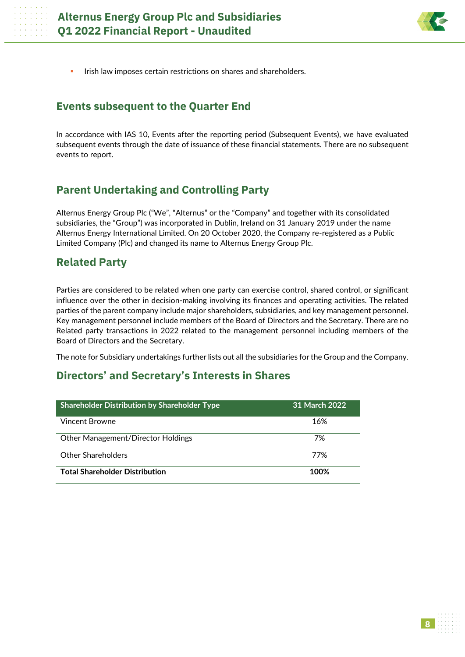

Irish law imposes certain restrictions on shares and shareholders.

## <span id="page-7-0"></span>**Events subsequent to the Quarter End**

In accordance with IAS 10, Events after the reporting period (Subsequent Events), we have evaluated subsequent events through the date of issuance of these financial statements. There are no subsequent events to report.

## **Parent Undertaking and Controlling Party**

Alternus Energy Group Plc ("We", "Alternus" or the "Company" and together with its consolidated subsidiaries, the "Group") was incorporated in Dublin, Ireland on 31 January 2019 under the name Alternus Energy International Limited. On 20 October 2020, the Company re-registered as a Public Limited Company (Plc) and changed its name to Alternus Energy Group Plc.

## **Related Party**

Parties are considered to be related when one party can exercise control, shared control, or significant influence over the other in decision-making involving its finances and operating activities. The related parties of the parent company include major shareholders, subsidiaries, and key management personnel. Key management personnel include members of the Board of Directors and the Secretary. There are no Related party transactions in 2022 related to the management personnel including members of the Board of Directors and the Secretary.

The note for Subsidiary undertakings further lists out all the subsidiaries for the Group and the Company.

## **Directors' and Secretary's Interests in Shares**

| <b>Shareholder Distribution by Shareholder Type</b> | 31 March 2022 |
|-----------------------------------------------------|---------------|
| Vincent Browne                                      | 16%           |
| <b>Other Management/Director Holdings</b>           | 7%            |
| Other Shareholders                                  | 77%           |
| <b>Total Shareholder Distribution</b>               | 100%          |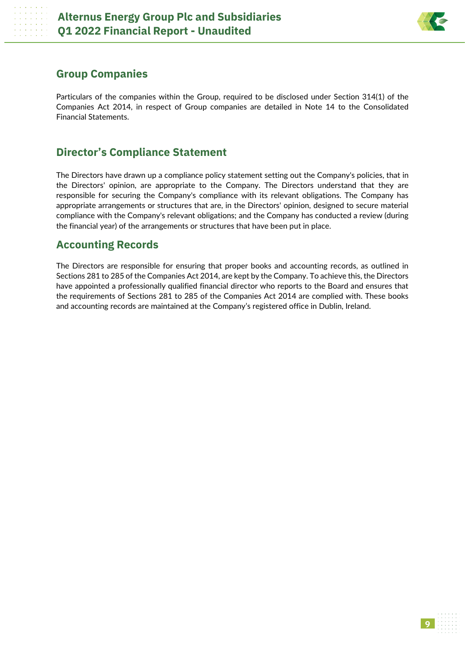

## **Group Companies**

<span id="page-8-0"></span>Particulars of the companies within the Group, required to be disclosed under Section 314(1) of the Companies Act 2014, in respect of Group companies are detailed in Note 14 to the Consolidated Financial Statements.

## **Director's Compliance Statement**

The Directors have drawn up a compliance policy statement setting out the Company's policies, that in the Directors' opinion, are appropriate to the Company. The Directors understand that they are responsible for securing the Company's compliance with its relevant obligations. The Company has appropriate arrangements or structures that are, in the Directors' opinion, designed to secure material compliance with the Company's relevant obligations; and the Company has conducted a review (during the financial year) of the arrangements or structures that have been put in place.

## **Accounting Records**

The Directors are responsible for ensuring that proper books and accounting records, as outlined in Sections 281 to 285 of the Companies Act 2014, are kept by the Company. To achieve this, the Directors have appointed a professionally qualified financial director who reports to the Board and ensures that the requirements of Sections 281 to 285 of the Companies Act 2014 are complied with. These books and accounting records are maintained at the Company's registered office in Dublin, Ireland.

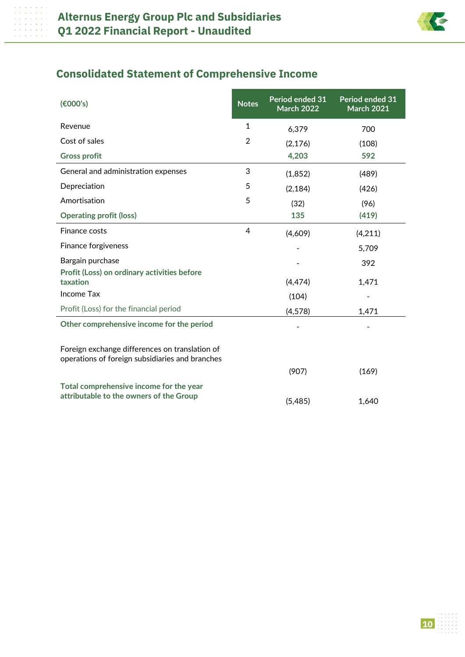

# **Consolidated Statement of Comprehensive Income**

| (6000's)                                                                                          | <b>Notes</b>   | Period ended 31<br><b>March 2022</b> | Period ended 31<br><b>March 2021</b> |
|---------------------------------------------------------------------------------------------------|----------------|--------------------------------------|--------------------------------------|
| Revenue                                                                                           | 1              | 6,379                                | 700                                  |
| Cost of sales                                                                                     | $\overline{2}$ | (2, 176)                             | (108)                                |
| <b>Gross profit</b>                                                                               |                | 4,203                                | 592                                  |
| General and administration expenses                                                               | 3              | (1, 852)                             | (489)                                |
| Depreciation                                                                                      | 5              | (2, 184)                             | (426)                                |
| Amortisation                                                                                      | 5              | (32)                                 | (96)                                 |
| <b>Operating profit (loss)</b>                                                                    |                | 135                                  | (419)                                |
| Finance costs                                                                                     | 4              | (4,609)                              | (4,211)                              |
| <b>Finance forgiveness</b>                                                                        |                |                                      | 5,709                                |
| Bargain purchase                                                                                  |                |                                      | 392                                  |
| Profit (Loss) on ordinary activities before<br>taxation                                           |                | (4, 474)                             | 1,471                                |
| Income Tax                                                                                        |                | (104)                                |                                      |
| Profit (Loss) for the financial period                                                            |                | (4, 578)                             | 1,471                                |
| Other comprehensive income for the period                                                         |                |                                      |                                      |
| Foreign exchange differences on translation of<br>operations of foreign subsidiaries and branches |                |                                      |                                      |
|                                                                                                   |                | (907)                                | (169)                                |
| Total comprehensive income for the year<br>attributable to the owners of the Group                |                | (5, 485)                             | 1,640                                |

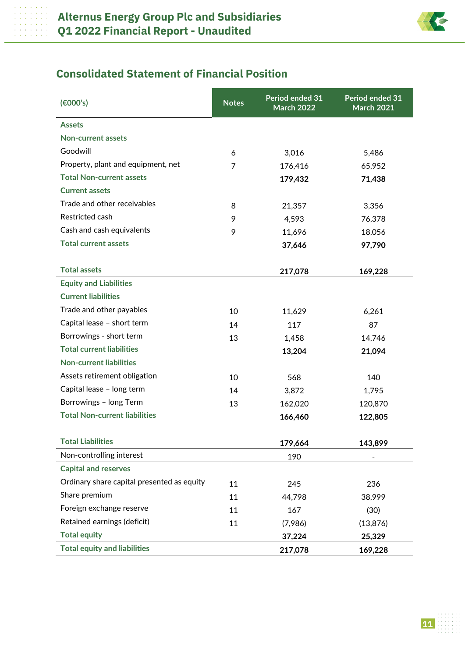

# **Consolidated Statement of Financial Position**

| (6000's)                                   | <b>Notes</b> | Period ended 31<br><b>March 2022</b> | Period ended 31<br><b>March 2021</b> |
|--------------------------------------------|--------------|--------------------------------------|--------------------------------------|
| <b>Assets</b>                              |              |                                      |                                      |
| <b>Non-current assets</b>                  |              |                                      |                                      |
| Goodwill                                   | 6            | 3,016                                | 5,486                                |
| Property, plant and equipment, net         | 7            | 176,416                              | 65,952                               |
| <b>Total Non-current assets</b>            |              | 179,432                              | 71,438                               |
| <b>Current assets</b>                      |              |                                      |                                      |
| Trade and other receivables                | 8            | 21,357                               | 3,356                                |
| Restricted cash                            | 9            | 4,593                                | 76,378                               |
| Cash and cash equivalents                  | 9            | 11,696                               | 18,056                               |
| <b>Total current assets</b>                |              | 37,646                               | 97,790                               |
|                                            |              |                                      |                                      |
| <b>Total assets</b>                        |              | 217,078                              | 169,228                              |
| <b>Equity and Liabilities</b>              |              |                                      |                                      |
| <b>Current liabilities</b>                 |              |                                      |                                      |
| Trade and other payables                   | 10           | 11,629                               | 6,261                                |
| Capital lease - short term                 | 14           | 117                                  | 87                                   |
| Borrowings - short term                    | 13           | 1,458                                | 14,746                               |
| <b>Total current liabilities</b>           |              | 13,204                               | 21,094                               |
| <b>Non-current liabilities</b>             |              |                                      |                                      |
| Assets retirement obligation               | 10           | 568                                  | 140                                  |
| Capital lease - long term                  | 14           | 3,872                                | 1,795                                |
| Borrowings - long Term                     | 13           | 162,020                              | 120,870                              |
| <b>Total Non-current liabilities</b>       |              | 166,460                              | 122,805                              |
|                                            |              |                                      |                                      |
| <b>Total Liabilities</b>                   |              | 179,664                              | 143,899                              |
| Non-controlling interest                   |              | 190                                  |                                      |
| <b>Capital and reserves</b>                |              |                                      |                                      |
| Ordinary share capital presented as equity | 11           | 245                                  | 236                                  |
| Share premium                              | 11           | 44,798                               | 38,999                               |
| Foreign exchange reserve                   | 11           | 167                                  | (30)                                 |
| Retained earnings (deficit)                | 11           | (7,986)                              | (13, 876)                            |
| <b>Total equity</b>                        |              | 37,224                               | 25,329                               |
| <b>Total equity and liabilities</b>        |              | 217,078                              | 169,228                              |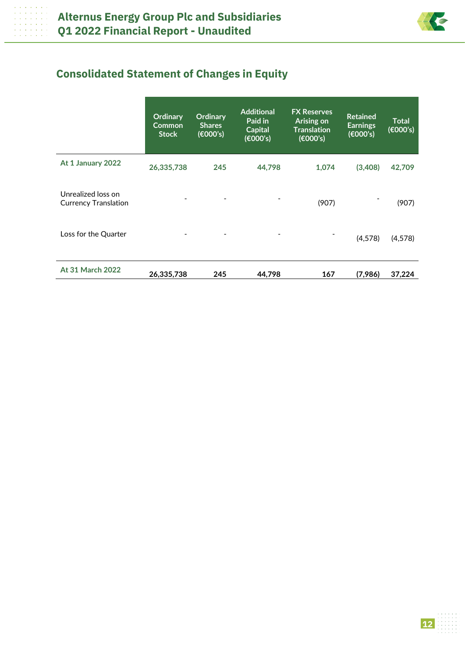

# **Consolidated Statement of Changes in Equity**

|                                                   | Ordinary<br>Common<br><b>Stock</b> | Ordinary<br><b>Shares</b><br>(€000's) | <b>Additional</b><br>Paid in<br><b>Capital</b><br>(€000's) | <b>FX Reserves</b><br>Arising on<br><b>Translation</b><br>(6000's) | <b>Retained</b><br><b>Earnings</b><br>(6000's) | <b>Total</b><br>€000's) |
|---------------------------------------------------|------------------------------------|---------------------------------------|------------------------------------------------------------|--------------------------------------------------------------------|------------------------------------------------|-------------------------|
| At 1 January 2022                                 | 26,335,738                         | 245                                   | 44,798                                                     | 1,074                                                              | (3,408)                                        | 42,709                  |
| Unrealized loss on<br><b>Currency Translation</b> |                                    |                                       |                                                            | (907)                                                              |                                                | (907)                   |
| Loss for the Quarter                              |                                    |                                       |                                                            |                                                                    | (4,578)                                        | (4, 578)                |
| <b>At 31 March 2022</b>                           | 26,335,738                         | 245                                   | 44,798                                                     | 167                                                                | (7,986)                                        | 37,224                  |

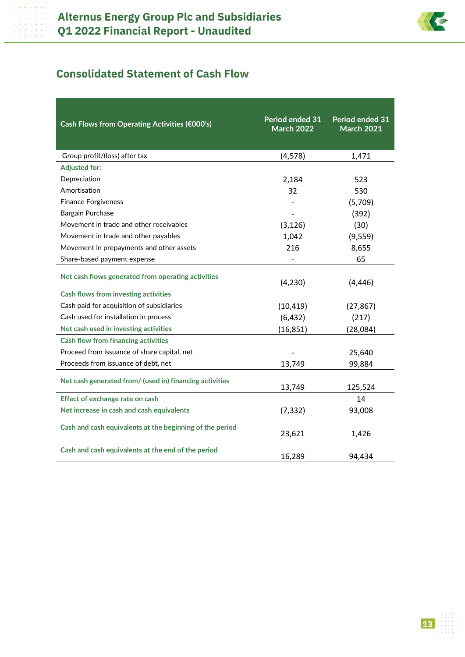

## **Consolidated Statement of Cash Flow**

| Cash Flows from Operating Activities (€000's)            | Period ended 31<br><b>March 2022</b> | Period ended 31<br><b>March 2021</b> |
|----------------------------------------------------------|--------------------------------------|--------------------------------------|
| Group profit/(loss) after tax                            | (4, 578)                             | 1,471                                |
| <b>Adjusted for:</b>                                     |                                      |                                      |
| Depreciation                                             | 2,184                                | 523                                  |
| Amortisation                                             | 32                                   | 530                                  |
| <b>Finance Forgiveness</b>                               |                                      | (5,709)                              |
| Bargain Purchase                                         |                                      | (392)                                |
| Movement in trade and other receivables                  | (3, 126)                             | (30)                                 |
| Movement in trade and other payables                     | 1,042                                | (9, 559)                             |
| Movement in prepayments and other assets                 | 216                                  | 8,655                                |
| Share-based payment expense                              |                                      | 65                                   |
| Net cash flows generated from operating activities       | (4, 230)                             | (4, 446)                             |
| Cash flows from investing activities                     |                                      |                                      |
| Cash paid for acquisition of subsidiaries                | (10, 419)                            | (27, 867)                            |
| Cash used for installation in process                    | (6, 432)                             | (217)                                |
| Net cash used in investing activities                    | (16, 851)                            | (28,084)                             |
| Cash flow from financing activities                      |                                      |                                      |
| Proceed from issuance of share capital, net              |                                      | 25,640                               |
| Proceeds from issuance of debt, net                      | 13,749                               | 99,884                               |
| Net cash generated from/ (used in) financing activities  | 13,749                               | 125,524                              |
| Effect of exchange rate on cash                          |                                      | 14                                   |
| Net increase in cash and cash equivalents                | (7, 332)                             | 93,008                               |
| Cash and cash equivalents at the beginning of the period | 23,621                               | 1,426                                |
| Cash and cash equivalents at the end of the period       | 16,289                               | 94,434                               |

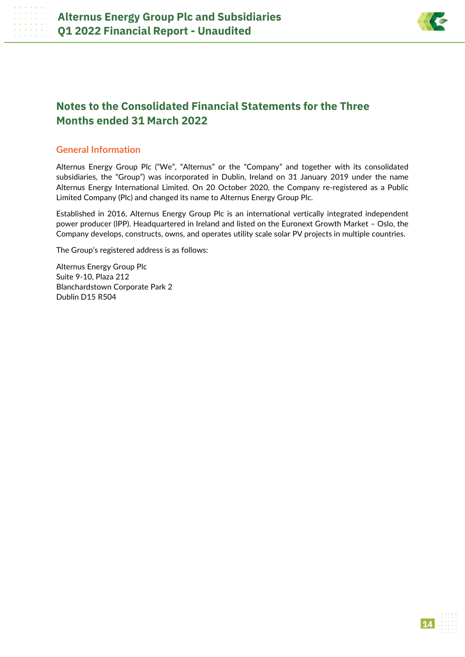

## **Notes to the Consolidated Financial Statements for the Three Months ended 31 March 2022**

## **General Information**

Alternus Energy Group Plc ("We", "Alternus" or the "Company" and together with its consolidated subsidiaries, the "Group") was incorporated in Dublin, Ireland on 31 January 2019 under the name Alternus Energy International Limited. On 20 October 2020, the Company re-registered as a Public Limited Company (Plc) and changed its name to Alternus Energy Group Plc.

Established in 2016, Alternus Energy Group Plc is an international vertically integrated independent power producer (IPP). Headquartered in Ireland and listed on the Euronext Growth Market – Oslo, the Company develops, constructs, owns, and operates utility scale solar PV projects in multiple countries.

The Group's registered address is as follows:

Alternus Energy Group Plc Suite 9-10, Plaza 212 Blanchardstown Corporate Park 2 Dublin D15 R504

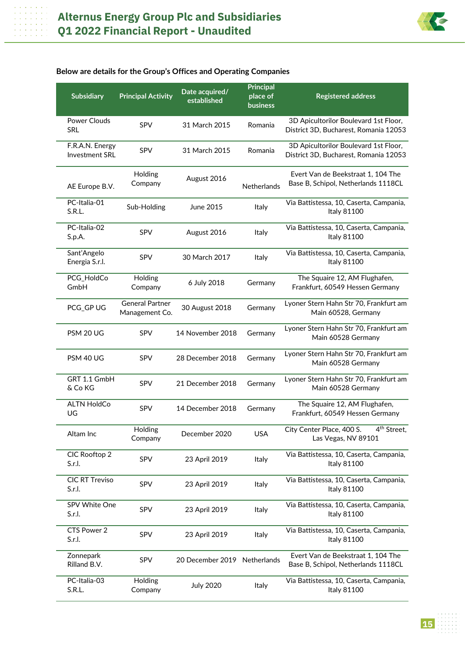

## **Below are details for the Group's Offices and Operating Companies**

| <b>Subsidiary</b>                        | <b>Principal Activity</b>                | Date acquired/<br>established | <b>Principal</b><br>place of<br>business | <b>Registered address</b>                                                      |
|------------------------------------------|------------------------------------------|-------------------------------|------------------------------------------|--------------------------------------------------------------------------------|
| Power Clouds<br><b>SRL</b>               | SPV                                      | 31 March 2015                 | Romania                                  | 3D Apicultorilor Boulevard 1st Floor,<br>District 3D, Bucharest, Romania 12053 |
| F.R.A.N. Energy<br><b>Investment SRL</b> | SPV                                      | 31 March 2015                 | Romania                                  | 3D Apicultorilor Boulevard 1st Floor,<br>District 3D, Bucharest, Romania 12053 |
| AE Europe B.V.                           | Holding<br>Company                       | August 2016                   | Netherlands                              | Evert Van de Beekstraat 1, 104 The<br>Base B, Schipol, Netherlands 1118CL      |
| PC-Italia-01<br>S.R.L.                   | Sub-Holding                              | June 2015                     | Italy                                    | Via Battistessa, 10, Caserta, Campania,<br><b>Italy 81100</b>                  |
| PC-Italia-02<br>S.p.A.                   | SPV                                      | August 2016                   | Italy                                    | Via Battistessa, 10, Caserta, Campania,<br><b>Italy 81100</b>                  |
| Sant'Angelo<br>Energia S.r.l.            | SPV                                      | 30 March 2017                 | Italy                                    | Via Battistessa, 10, Caserta, Campania,<br>Italy 81100                         |
| PCG_HoldCo<br>GmbH                       | Holding<br>Company                       | 6 July 2018                   | Germany                                  | The Squaire 12, AM Flughafen,<br>Frankfurt, 60549 Hessen Germany               |
| PCG_GP UG                                | <b>General Partner</b><br>Management Co. | 30 August 2018                | Germany                                  | Lyoner Stern Hahn Str 70, Frankfurt am<br>Main 60528, Germany                  |
| PSM 20 UG                                | SPV                                      | 14 November 2018              | Germany                                  | Lyoner Stern Hahn Str 70, Frankfurt am<br>Main 60528 Germany                   |
| PSM 40 UG                                | <b>SPV</b>                               | 28 December 2018              | Germany                                  | Lyoner Stern Hahn Str 70, Frankfurt am<br>Main 60528 Germany                   |
| GRT 1.1 GmbH<br>& Co KG                  | SPV                                      | 21 December 2018              | Germany                                  | Lyoner Stern Hahn Str 70, Frankfurt am<br>Main 60528 Germany                   |
| <b>ALTN HoldCo</b><br>UG                 | <b>SPV</b>                               | 14 December 2018              | Germany                                  | The Squaire 12, AM Flughafen,<br>Frankfurt, 60549 Hessen Germany               |
| Altam Inc                                | Holding<br>Company                       | December 2020                 | <b>USA</b>                               | City Center Place, 400 S.<br>4 <sup>th</sup> Street,<br>Las Vegas, NV 89101    |
| CIC Rooftop 2<br>S.r.l.                  | <b>SPV</b>                               | 23 April 2019                 | Italy                                    | Via Battistessa, 10, Caserta, Campania,<br>Italy 81100                         |
| <b>CIC RT Treviso</b><br>S.r.l.          | SPV                                      | 23 April 2019                 | Italy                                    | Via Battistessa, 10, Caserta, Campania,<br><b>Italy 81100</b>                  |
| SPV White One<br>S.r.l.                  | SPV                                      | 23 April 2019                 | Italy                                    | Via Battistessa, 10, Caserta, Campania,<br><b>Italy 81100</b>                  |
| CTS Power 2<br>S.r.l.                    | SPV                                      | 23 April 2019                 | Italy                                    | Via Battistessa, 10, Caserta, Campania,<br>Italy 81100                         |
| Zonnepark<br>Rilland B.V.                | <b>SPV</b>                               | 20 December 2019 Netherlands  |                                          | Evert Van de Beekstraat 1, 104 The<br>Base B, Schipol, Netherlands 1118CL      |
| PC-Italia-03<br>S.R.L.                   | Holding<br>Company                       | <b>July 2020</b>              | Italy                                    | Via Battistessa, 10, Caserta, Campania,<br><b>Italy 81100</b>                  |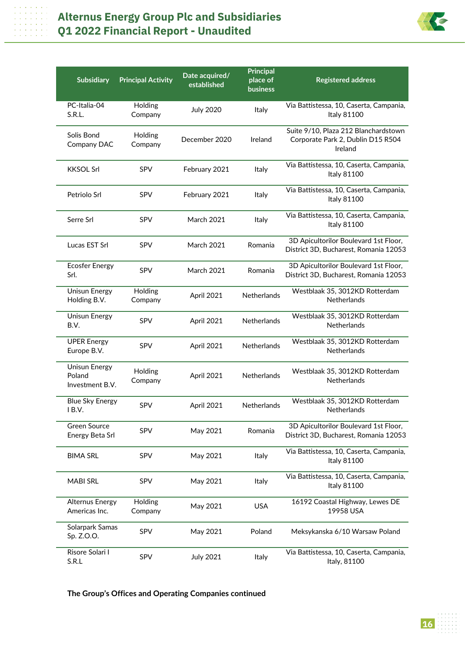

| <b>Subsidiary</b>                                 | <b>Principal Activity</b> | Date acquired/<br>established | <b>Principal</b><br>place of<br><b>business</b> | <b>Registered address</b>                                                            |
|---------------------------------------------------|---------------------------|-------------------------------|-------------------------------------------------|--------------------------------------------------------------------------------------|
| PC-Italia-04<br>S.R.L.                            | Holding<br>Company        | <b>July 2020</b>              | Italy                                           | Via Battistessa, 10, Caserta, Campania,<br><b>Italy 81100</b>                        |
| Solis Bond<br>Company DAC                         | Holding<br>Company        | December 2020                 | Ireland                                         | Suite 9/10, Plaza 212 Blanchardstown<br>Corporate Park 2, Dublin D15 R504<br>Ireland |
| <b>KKSOL Srl</b>                                  | <b>SPV</b>                | February 2021                 | Italy                                           | Via Battistessa, 10, Caserta, Campania,<br><b>Italy 81100</b>                        |
| Petriolo Srl                                      | <b>SPV</b>                | February 2021                 | Italy                                           | Via Battistessa, 10, Caserta, Campania,<br><b>Italy 81100</b>                        |
| Serre Srl                                         | <b>SPV</b>                | <b>March 2021</b>             | Italy                                           | Via Battistessa, 10, Caserta, Campania,<br><b>Italy 81100</b>                        |
| <b>Lucas EST Srl</b>                              | <b>SPV</b>                | <b>March 2021</b>             | Romania                                         | 3D Apicultorilor Boulevard 1st Floor,<br>District 3D, Bucharest, Romania 12053       |
| <b>Ecosfer Energy</b><br>Srl.                     | SPV                       | March 2021                    | Romania                                         | 3D Apicultorilor Boulevard 1st Floor,<br>District 3D, Bucharest, Romania 12053       |
| <b>Unisun Energy</b><br>Holding B.V.              | Holding<br>Company        | April 2021                    | <b>Netherlands</b>                              | Westblaak 35, 3012KD Rotterdam<br><b>Netherlands</b>                                 |
| <b>Unisun Energy</b><br>B.V.                      | <b>SPV</b>                | April 2021                    | <b>Netherlands</b>                              | Westblaak 35, 3012KD Rotterdam<br><b>Netherlands</b>                                 |
| <b>UPER Energy</b><br>Europe B.V.                 | SPV                       | April 2021                    | <b>Netherlands</b>                              | Westblaak 35, 3012KD Rotterdam<br><b>Netherlands</b>                                 |
| <b>Unisun Energy</b><br>Poland<br>Investment B.V. | Holding<br>Company        | April 2021                    | <b>Netherlands</b>                              | Westblaak 35, 3012KD Rotterdam<br><b>Netherlands</b>                                 |
| <b>Blue Sky Energy</b><br>IB.V.                   | <b>SPV</b>                | April 2021                    | <b>Netherlands</b>                              | Westblaak 35, 3012KD Rotterdam<br><b>Netherlands</b>                                 |
| Green Source<br>Energy Beta Srl                   | SPV                       | May 2021                      | Romania                                         | 3D Apicultorilor Boulevard 1st Floor,<br>District 3D, Bucharest, Romania 12053       |
| <b>BIMA SRL</b>                                   | SPV                       | May 2021                      | Italy                                           | Via Battistessa, 10, Caserta, Campania,<br><b>Italy 81100</b>                        |
| <b>MABI SRL</b>                                   | SPV                       | May 2021                      | Italy                                           | Via Battistessa, 10, Caserta, Campania,<br><b>Italy 81100</b>                        |
| Alternus Energy<br>Americas Inc.                  | Holding<br>Company        | May 2021                      | <b>USA</b>                                      | 16192 Coastal Highway, Lewes DE<br>19958 USA                                         |
| Solarpark Samas<br>Sp. Z.O.O.                     | SPV                       | May 2021                      | Poland                                          | Meksykanska 6/10 Warsaw Poland                                                       |
| Risore Solari I<br>S.R.L                          | SPV                       | <b>July 2021</b>              | Italy                                           | Via Battistessa, 10, Caserta, Campania,<br>Italy, 81100                              |

**The Group's Offices and Operating Companies continued**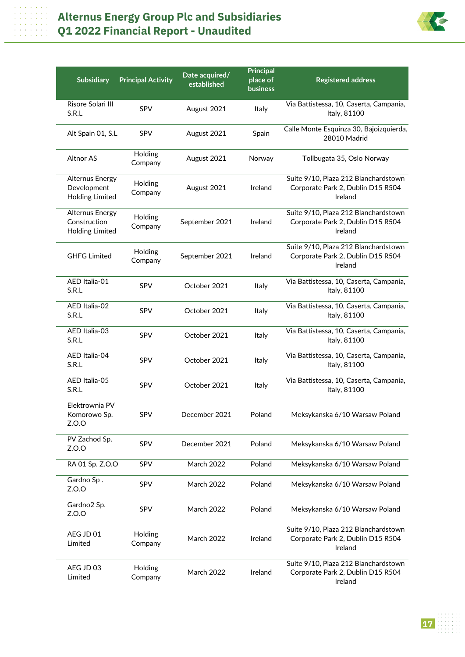

| <b>Subsidiary</b>                                                | <b>Principal Activity</b> | Date acquired/<br>established | <b>Principal</b><br>place of<br><b>business</b> | <b>Registered address</b>                                                            |
|------------------------------------------------------------------|---------------------------|-------------------------------|-------------------------------------------------|--------------------------------------------------------------------------------------|
| Risore Solari III<br>S.R.L                                       | <b>SPV</b>                | August 2021                   | Italy                                           | Via Battistessa, 10, Caserta, Campania,<br>Italy, 81100                              |
| Alt Spain 01, S.L                                                | <b>SPV</b>                | August 2021                   | Spain                                           | Calle Monte Esquinza 30, Bajoizquierda,<br>28010 Madrid                              |
| <b>Altnor AS</b>                                                 | Holding<br>Company        | August 2021                   | Norway                                          | Tollbugata 35, Oslo Norway                                                           |
| <b>Alternus Energy</b><br>Development<br><b>Holding Limited</b>  | Holding<br>Company        | August 2021                   | Ireland                                         | Suite 9/10, Plaza 212 Blanchardstown<br>Corporate Park 2, Dublin D15 R504<br>Ireland |
| <b>Alternus Energy</b><br>Construction<br><b>Holding Limited</b> | Holding<br>Company        | September 2021                | Ireland                                         | Suite 9/10, Plaza 212 Blanchardstown<br>Corporate Park 2, Dublin D15 R504<br>Ireland |
| <b>GHFG Limited</b>                                              | Holding<br>Company        | September 2021                | Ireland                                         | Suite 9/10, Plaza 212 Blanchardstown<br>Corporate Park 2, Dublin D15 R504<br>Ireland |
| AED Italia-01<br>S.R.L                                           | <b>SPV</b>                | October 2021                  | Italy                                           | Via Battistessa, 10, Caserta, Campania,<br>Italy, 81100                              |
| AED Italia-02<br>S.R.L                                           | SPV                       | October 2021                  | Italy                                           | Via Battistessa, 10, Caserta, Campania,<br>Italy, 81100                              |
| AED Italia-03<br>S.R.L                                           | <b>SPV</b>                | October 2021                  | Italy                                           | Via Battistessa, 10, Caserta, Campania,<br>Italy, 81100                              |
| AED Italia-04<br>S.R.L                                           | <b>SPV</b>                | October 2021                  | Italy                                           | Via Battistessa, 10, Caserta, Campania,<br>Italy, 81100                              |
| AED Italia-05<br>S.R.L                                           | <b>SPV</b>                | October 2021                  | Italy                                           | Via Battistessa, 10, Caserta, Campania,<br>Italy, 81100                              |
| Elektrownia PV<br>Komorowo Sp.<br>Z.O.O                          | SPV                       | December 2021                 | Poland                                          | Meksykanska 6/10 Warsaw Poland                                                       |
| PV Zachod Sp.<br>Z.O.O                                           | SPV                       | December 2021                 | Poland                                          | Meksykanska 6/10 Warsaw Poland                                                       |
| RA 01 Sp. Z.O.O                                                  | SPV                       | <b>March 2022</b>             | Poland                                          | Meksykanska 6/10 Warsaw Poland                                                       |
| Gardno Sp.<br>Z.O.O                                              | SPV                       | <b>March 2022</b>             | Poland                                          | Meksykanska 6/10 Warsaw Poland                                                       |
| Gardno <sub>2</sub> Sp.<br>Z.O.O                                 | SPV                       | <b>March 2022</b>             | Poland                                          | Meksykanska 6/10 Warsaw Poland                                                       |
| AEG JD 01<br>Limited                                             | Holding<br>Company        | <b>March 2022</b>             | Ireland                                         | Suite 9/10, Plaza 212 Blanchardstown<br>Corporate Park 2, Dublin D15 R504<br>Ireland |
| AEG JD 03<br>Limited                                             | Holding<br>Company        | March 2022                    | Ireland                                         | Suite 9/10, Plaza 212 Blanchardstown<br>Corporate Park 2, Dublin D15 R504<br>Ireland |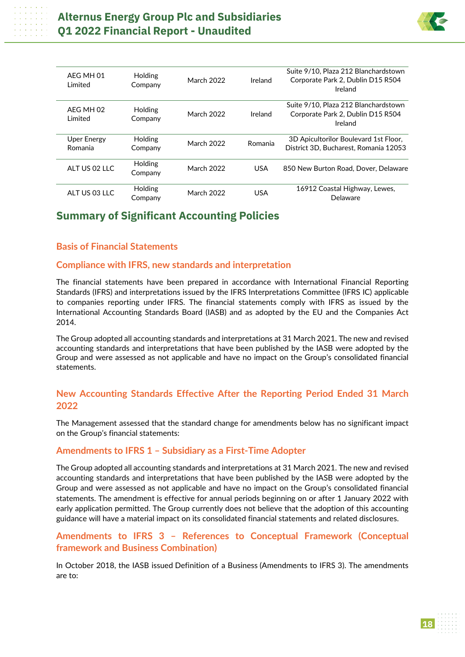

| AFG MH 01<br><b>Limited</b> | <b>Holding</b><br>Company | March 2022        | Ireland    | Suite 9/10, Plaza 212 Blanchardstown<br>Corporate Park 2, Dublin D15 R504<br>Ireland |
|-----------------------------|---------------------------|-------------------|------------|--------------------------------------------------------------------------------------|
| AFG MH 02<br><b>Limited</b> | <b>Holding</b><br>Company | March 2022        | Ireland    | Suite 9/10, Plaza 212 Blanchardstown<br>Corporate Park 2, Dublin D15 R504<br>Ireland |
| Uper Energy<br>Romania      | Holding<br>Company        | March 2022        | Romania    | 3D Apicultorilor Boulevard 1st Floor,<br>District 3D, Bucharest, Romania 12053       |
| AI T US 02 I IC             | <b>Holding</b><br>Company | March 2022        | <b>USA</b> | 850 New Burton Road, Dover, Delaware                                                 |
| AI T US 03 I IC             | Holding<br>Company        | <b>March 2022</b> | <b>USA</b> | 16912 Coastal Highway, Lewes,<br>Delaware                                            |

## **Summary of Significant Accounting Policies**

## **Basis of Financial Statements**

#### **Compliance with IFRS, new standards and interpretation**

The financial statements have been prepared in accordance with International Financial Reporting Standards (IFRS) and interpretations issued by the IFRS Interpretations Committee (IFRS IC) applicable to companies reporting under IFRS. The financial statements comply with IFRS as issued by the International Accounting Standards Board (IASB) and as adopted by the EU and the Companies Act 2014.

The Group adopted all accounting standards and interpretations at 31 March 2021. The new and revised accounting standards and interpretations that have been published by the IASB were adopted by the Group and were assessed as not applicable and have no impact on the Group's consolidated financial statements.

## **New Accounting Standards Effective After the Reporting Period Ended 31 March 2022**

The Management assessed that the standard change for amendments below has no significant impact on the Group's financial statements:

## **Amendments to IFRS 1 – Subsidiary as a First-Time Adopter**

The Group adopted all accounting standards and interpretations at 31 March 2021. The new and revised accounting standards and interpretations that have been published by the IASB were adopted by the Group and were assessed as not applicable and have no impact on the Group's consolidated financial statements. The amendment is effective for annual periods beginning on or after 1 January 2022 with early application permitted. The Group currently does not believe that the adoption of this accounting guidance will have a material impact on its consolidated financial statements and related disclosures.

## **Amendments to IFRS 3 – References to Conceptual Framework (Conceptual framework and Business Combination)**

In October 2018, the IASB issued Definition of a Business (Amendments to IFRS 3). The amendments are to: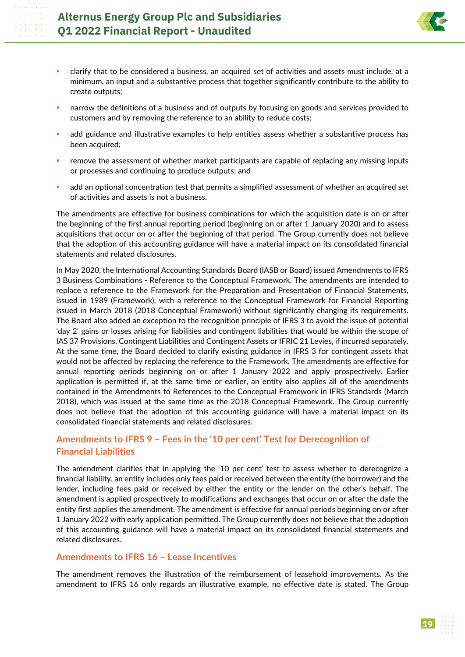

- clarify that to be considered a business, an acquired set of activities and assets must include, at a minimum, an input and a substantive process that together significantly contribute to the ability to create outputs;
- narrow the definitions of a business and of outputs by focusing on goods and services provided to customers and by removing the reference to an ability to reduce costs;
- add guidance and illustrative examples to help entities assess whether a substantive process has been acquired;
- remove the assessment of whether market participants are capable of replacing any missing inputs or processes and continuing to produce outputs; and
- add an optional concentration test that permits a simplified assessment of whether an acquired set of activities and assets is not a business.

The amendments are effective for business combinations for which the acquisition date is on or after the beginning of the first annual reporting period (beginning on or after 1 January 2020) and to assess acquisitions that occur on or after the beginning of that period. The Group currently does not believe that the adoption of this accounting guidance will have a material impact on its consolidated financial statements and related disclosures.

In May 2020, the International Accounting Standards Board (IASB or Board) issued Amendments to IFRS 3 Business Combinations - Reference to the Conceptual Framework. The amendments are intended to replace a reference to the Framework for the Preparation and Presentation of Financial Statements, issued in 1989 (Framework), with a reference to the Conceptual Framework for Financial Reporting issued in March 2018 (2018 Conceptual Framework) without significantly changing its requirements. The Board also added an exception to the recognition principle of IFRS 3 to avoid the issue of potential 'day 2' gains or losses arising for liabilities and contingent liabilities that would be within the scope of IAS 37 Provisions, Contingent Liabilities and Contingent Assets or IFRIC 21 Levies, if incurred separately. At the same time, the Board decided to clarify existing guidance in IFRS 3 for contingent assets that would not be affected by replacing the reference to the Framework. The amendments are effective for annual reporting periods beginning on or after 1 January 2022 and apply prospectively. Earlier application is permitted if, at the same time or earlier, an entity also applies all of the amendments contained in the Amendments to References to the Conceptual Framework in IFRS Standards (March 2018), which was issued at the same time as the 2018 Conceptual Framework. The Group currently does not believe that the adoption of this accounting guidance will have a material impact on its consolidated financial statements and related disclosures.

## **Amendments to IFRS 9 – Fees in the '10 per cent' Test for Derecognition of Financial Liabilities**

The amendment clarifies that in applying the '10 per cent' test to assess whether to derecognize a financial liability, an entity includes only fees paid or received between the entity (the borrower) and the lender, including fees paid or received by either the entity or the lender on the other's behalf. The amendment is applied prospectively to modifications and exchanges that occur on or after the date the entity first applies the amendment. The amendment is effective for annual periods beginning on or after 1 January 2022 with early application permitted. The Group currently does not believe that the adoption of this accounting guidance will have a material impact on its consolidated financial statements and related disclosures.

#### **Amendments to IFRS 16 – Lease Incentives**

The amendment removes the illustration of the reimbursement of leasehold improvements. As the amendment to IFRS 16 only regards an illustrative example, no effective date is stated. The Group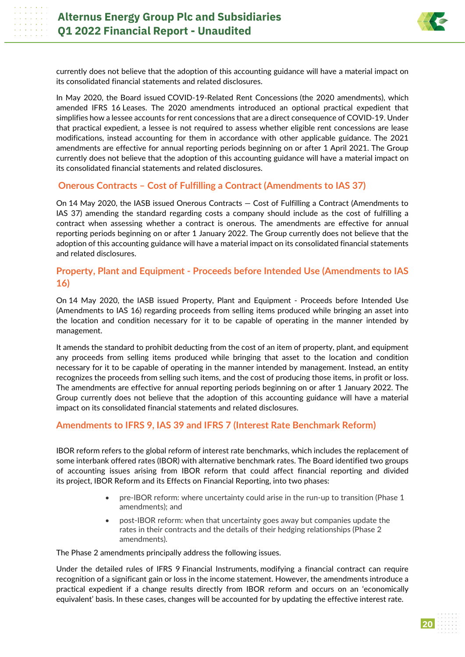

currently does not believe that the adoption of this accounting guidance will have a material impact on its consolidated financial statements and related disclosures.

In May 2020, the Board issued COVID-19-Related Rent Concessions (the 2020 amendments), which amended IFRS 16 Leases. The 2020 amendments introduced an optional practical expedient that simplifies how a lessee accounts for rent concessions that are a direct consequence of COVID-19. Under that practical expedient, a lessee is not required to assess whether eligible rent concessions are lease modifications, instead accounting for them in accordance with other applicable guidance. The 2021 amendments are effective for annual reporting periods beginning on or after 1 April 2021. The Group currently does not believe that the adoption of this accounting guidance will have a material impact on its consolidated financial statements and related disclosures.

## **Onerous Contracts – Cost of Fulfilling a Contract (Amendments to IAS 37)**

On [14 May 2020,](https://www.iasplus.com/en/news/2020/05/ias-37) the IASB issued Onerous Contracts — Cost of Fulfilling a Contract (Amendments to IAS 37) amending the standard regarding costs a company should include as the cost of fulfilling a contract when assessing whether a contract is onerous. The amendments are effective for annual reporting periods beginning on or after 1 January 2022. The Group currently does not believe that the adoption of this accounting guidance will have a material impact on its consolidated financial statements and related disclosures.

## **Property, Plant and Equipment - Proceeds before Intended Use (Amendments to IAS 16)**

On [14 May 2020,](https://www.iasplus.com/en/news/2020/05/ias-16) the IASB issued Property, Plant and Equipment - Proceeds before Intended Use (Amendments to IAS 16) regarding proceeds from selling items produced while bringing an asset into the location and condition necessary for it to be capable of operating in the manner intended by management.

It amends the standard to prohibit deducting from the cost of an item of property, plant, and equipment any proceeds from selling items produced while bringing that asset to the location and condition necessary for it to be capable of operating in the manner intended by management. Instead, an entity recognizes the proceeds from selling such items, and the cost of producing those items, in profit or loss. The amendments are effective for annual reporting periods beginning on or after 1 January 2022. The Group currently does not believe that the adoption of this accounting guidance will have a material impact on its consolidated financial statements and related disclosures.

#### **Amendments to IFRS 9, IAS 39 and IFRS 7 (Interest Rate Benchmark Reform)**

IBOR reform refers to the global reform of interest rate benchmarks, which includes the replacement of some interbank offered rates (IBOR) with alternative benchmark rates. The Board identified two groups of accounting issues arising from IBOR reform that could affect financial reporting and divided its [project,](https://home.kpmg/xx/en/home/insights/2019/05/ibor-reform-ifrs-hedge-accounting-libor-interest-rates-ifrs9-ias39.html) IBOR Reform and its Effects on Financial Reporting, into two phases:

- pre-IBOR reform: where uncertainty could arise in the run-up to transition (Phase 1 amendments); and
- post-IBOR reform: when that uncertainty goes away but companies update the rates in their contracts and the details of their hedging relationships (Phase 2 amendments).

The Phase 2 amendments principally address the following issues.

Under the detailed rules of IFRS 9 Financial Instruments, modifying a financial contract can require recognition of a significant gain or loss in the income statement. However, the amendments introduce a practical expedient if a change results directly from IBOR reform and occurs on an 'economically equivalent' basis. In these cases, changes will be accounted for by updating the effective interest rate.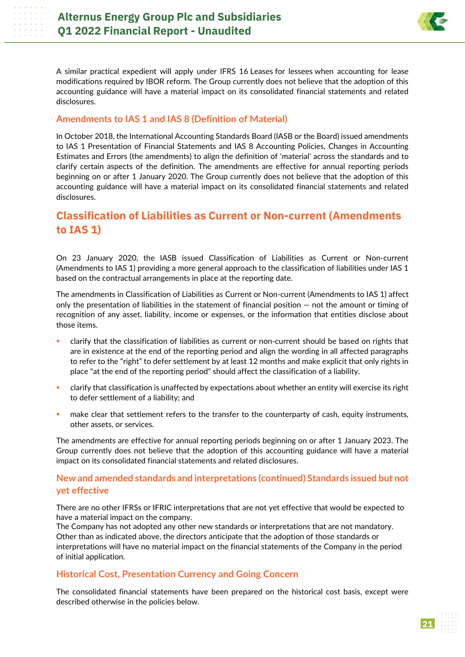

A similar practical expedient will apply under IFRS 16 Leases for lessees when accounting for lease modifications required by IBOR reform. The Group currently does not believe that the adoption of this accounting guidance will have a material impact on its consolidated financial statements and related disclosures.

## **Amendments to IAS 1 and IAS 8 (Definition of Material)**

In October 2018, the International Accounting Standards Board (IASB or the Board) issued amendments to IAS 1 Presentation of Financial Statements and IAS 8 Accounting Policies, Changes in Accounting Estimates and Errors (the amendments) to align the definition of 'material' across the standards and to clarify certain aspects of the definition. The amendments are effective for annual reporting periods beginning on or after 1 January 2020. The Group currently does not believe that the adoption of this accounting guidance will have a material impact on its consolidated financial statements and related disclosures.

## **Classification of Liabilities as Current or Non-current (Amendments to IAS 1)**

On 23 January 2020, the IASB issued Classification of Liabilities as Current or Non-current (Amendments to IAS 1) providing a more general approach to the classification of liabilities under IAS 1 based on the contractual arrangements in place at the reporting date.

The amendments in Classification of Liabilities as Current or Non-current (Amendments to IAS 1) affect only the presentation of liabilities in the statement of financial position — not the amount or timing of recognition of any asset, liability, income or expenses, or the information that entities disclose about those items.

- clarify that the classification of liabilities as current or non-current should be based on rights that are in existence at the end of the reporting period and align the wording in all affected paragraphs to refer to the "right" to defer settlement by at least 12 months and make explicit that only rights in place "at the end of the reporting period" should affect the classification of a liability.
- clarify that classification is unaffected by expectations about whether an entity will exercise its right to defer settlement of a liability; and
- make clear that settlement refers to the transfer to the counterparty of cash, equity instruments, other assets, or services.

The amendments are effective for annual reporting periods beginning on or after 1 January 2023. The Group currently does not believe that the adoption of this accounting guidance will have a material impact on its consolidated financial statements and related disclosures.

## **New and amended standards and interpretations (continued) Standards issued but not yet effective**

There are no other IFRSs or IFRIC interpretations that are not yet effective that would be expected to have a material impact on the company.

The Company has not adopted any other new standards or interpretations that are not mandatory. Other than as indicated above, the directors anticipate that the adoption of those standards or interpretations will have no material impact on the financial statements of the Company in the period of initial application.

## **Historical Cost, Presentation Currency and Going Concern**

The consolidated financial statements have been prepared on the historical cost basis, except were described otherwise in the policies below.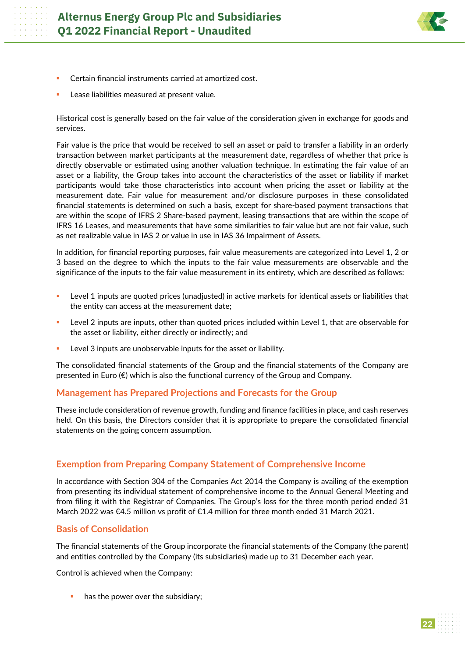

**22**

- Certain financial instruments carried at amortized cost.
- Lease liabilities measured at present value.

Historical cost is generally based on the fair value of the consideration given in exchange for goods and services.

Fair value is the price that would be received to sell an asset or paid to transfer a liability in an orderly transaction between market participants at the measurement date, regardless of whether that price is directly observable or estimated using another valuation technique. In estimating the fair value of an asset or a liability, the Group takes into account the characteristics of the asset or liability if market participants would take those characteristics into account when pricing the asset or liability at the measurement date. Fair value for measurement and/or disclosure purposes in these consolidated financial statements is determined on such a basis, except for share-based payment transactions that are within the scope of IFRS 2 Share-based payment, leasing transactions that are within the scope of IFRS 16 Leases, and measurements that have some similarities to fair value but are not fair value, such as net realizable value in IAS 2 or value in use in IAS 36 Impairment of Assets.

In addition, for financial reporting purposes, fair value measurements are categorized into Level 1, 2 or 3 based on the degree to which the inputs to the fair value measurements are observable and the significance of the inputs to the fair value measurement in its entirety, which are described as follows:

- Level 1 inputs are quoted prices (unadjusted) in active markets for identical assets or liabilities that the entity can access at the measurement date;
- Level 2 inputs are inputs, other than quoted prices included within Level 1, that are observable for the asset or liability, either directly or indirectly; and
- Level 3 inputs are unobservable inputs for the asset or liability.

The consolidated financial statements of the Group and the financial statements of the Company are presented in Euro  $(\epsilon)$  which is also the functional currency of the Group and Company.

#### **Management has Prepared Projections and Forecasts for the Group**

These include consideration of revenue growth, funding and finance facilities in place, and cash reserves held. On this basis, the Directors consider that it is appropriate to prepare the consolidated financial statements on the going concern assumption.

#### **Exemption from Preparing Company Statement of Comprehensive Income**

In accordance with Section 304 of the Companies Act 2014 the Company is availing of the exemption from presenting its individual statement of comprehensive income to the Annual General Meeting and from filing it with the Registrar of Companies. The Group's loss for the three month period ended 31 March 2022 was €4.5 million vs profit of €1.4 million for three month ended 31 March 2021.

#### **Basis of Consolidation**

The financial statements of the Group incorporate the financial statements of the Company (the parent) and entities controlled by the Company (its subsidiaries) made up to 31 December each year.

Control is achieved when the Company:

has the power over the subsidiary;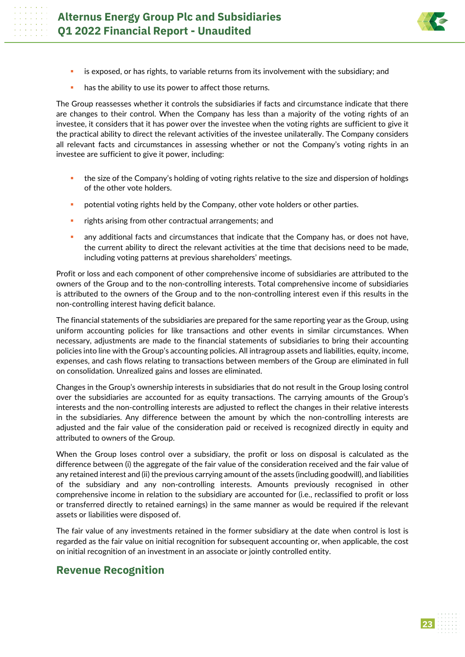

- **EXECT** is exposed, or has rights, to variable returns from its involvement with the subsidiary; and
- **has the ability to use its power to affect those returns.**

The Group reassesses whether it controls the subsidiaries if facts and circumstance indicate that there are changes to their control. When the Company has less than a majority of the voting rights of an investee, it considers that it has power over the investee when the voting rights are sufficient to give it the practical ability to direct the relevant activities of the investee unilaterally. The Company considers all relevant facts and circumstances in assessing whether or not the Company's voting rights in an investee are sufficient to give it power, including:

- **the size of the Company's holding of voting rights relative to the size and dispersion of holdings** of the other vote holders.
- potential voting rights held by the Company, other vote holders or other parties.
- **Fights arising from other contractual arrangements; and**
- **•** any additional facts and circumstances that indicate that the Company has, or does not have, the current ability to direct the relevant activities at the time that decisions need to be made, including voting patterns at previous shareholders' meetings.

Profit or loss and each component of other comprehensive income of subsidiaries are attributed to the owners of the Group and to the non-controlling interests. Total comprehensive income of subsidiaries is attributed to the owners of the Group and to the non-controlling interest even if this results in the non-controlling interest having deficit balance.

The financial statements of the subsidiaries are prepared for the same reporting year as the Group, using uniform accounting policies for like transactions and other events in similar circumstances. When necessary, adjustments are made to the financial statements of subsidiaries to bring their accounting policies into line with the Group's accounting policies. All intragroup assets and liabilities, equity, income, expenses, and cash flows relating to transactions between members of the Group are eliminated in full on consolidation. Unrealized gains and losses are eliminated.

Changes in the Group's ownership interests in subsidiaries that do not result in the Group losing control over the subsidiaries are accounted for as equity transactions. The carrying amounts of the Group's interests and the non-controlling interests are adjusted to reflect the changes in their relative interests in the subsidiaries. Any difference between the amount by which the non-controlling interests are adjusted and the fair value of the consideration paid or received is recognized directly in equity and attributed to owners of the Group.

When the Group loses control over a subsidiary, the profit or loss on disposal is calculated as the difference between (i) the aggregate of the fair value of the consideration received and the fair value of any retained interest and (ii) the previous carrying amount of the assets (including goodwill), and liabilities of the subsidiary and any non-controlling interests. Amounts previously recognised in other comprehensive income in relation to the subsidiary are accounted for (i.e., reclassified to profit or loss or transferred directly to retained earnings) in the same manner as would be required if the relevant assets or liabilities were disposed of.

The fair value of any investments retained in the former subsidiary at the date when control is lost is regarded as the fair value on initial recognition for subsequent accounting or, when applicable, the cost on initial recognition of an investment in an associate or jointly controlled entity.

## **Revenue Recognition**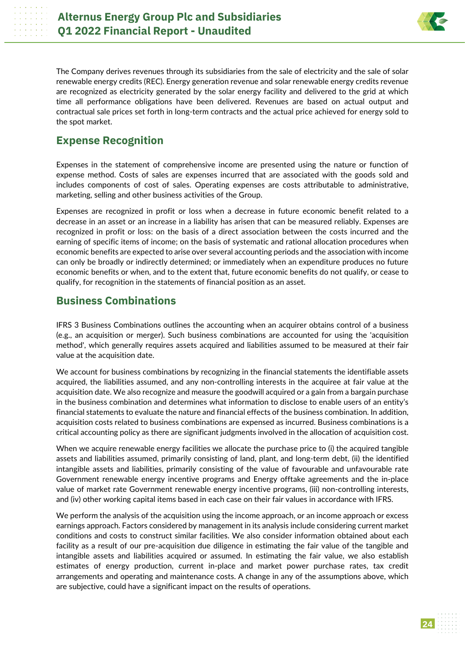

The Company derives revenues through its subsidiaries from the sale of electricity and the sale of solar renewable energy credits (REC). Energy generation revenue and solar renewable energy credits revenue are recognized as electricity generated by the solar energy facility and delivered to the grid at which time all performance obligations have been delivered. Revenues are based on actual output and contractual sale prices set forth in long-term contracts and the actual price achieved for energy sold to the spot market.

## **Expense Recognition**

Expenses in the statement of comprehensive income are presented using the nature or function of expense method. Costs of sales are expenses incurred that are associated with the goods sold and includes components of cost of sales. Operating expenses are costs attributable to administrative, marketing, selling and other business activities of the Group.

Expenses are recognized in profit or loss when a decrease in future economic benefit related to a decrease in an asset or an increase in a liability has arisen that can be measured reliably. Expenses are recognized in profit or loss: on the basis of a direct association between the costs incurred and the earning of specific items of income; on the basis of systematic and rational allocation procedures when economic benefits are expected to arise over several accounting periods and the association with income can only be broadly or indirectly determined; or immediately when an expenditure produces no future economic benefits or when, and to the extent that, future economic benefits do not qualify, or cease to qualify, for recognition in the statements of financial position as an asset.

## **Business Combinations**

IFRS 3 Business Combinations outlines the accounting when an acquirer obtains control of a business (e.g., an acquisition or merger). Such business combinations are accounted for using the 'acquisition method', which generally requires assets acquired and liabilities assumed to be measured at their fair value at the acquisition date.

We account for business combinations by recognizing in the financial statements the identifiable assets acquired, the liabilities assumed, and any non-controlling interests in the acquiree at fair value at the acquisition date. We also recognize and measure the goodwill acquired or a gain from a bargain purchase in the business combination and determines what information to disclose to enable users of an entity's financial statements to evaluate the nature and financial effects of the business combination. In addition, acquisition costs related to business combinations are expensed as incurred. Business combinations is a critical accounting policy as there are significant judgments involved in the allocation of acquisition cost.

When we acquire renewable energy facilities we allocate the purchase price to (i) the acquired tangible assets and liabilities assumed, primarily consisting of land, plant, and long-term debt, (ii) the identified intangible assets and liabilities, primarily consisting of the value of favourable and unfavourable rate Government renewable energy incentive programs and Energy offtake agreements and the in-place value of market rate Government renewable energy incentive programs, (iii) non-controlling interests, and (iv) other working capital items based in each case on their fair values in accordance with IFRS.

We perform the analysis of the acquisition using the income approach, or an income approach or excess earnings approach. Factors considered by management in its analysis include considering current market conditions and costs to construct similar facilities. We also consider information obtained about each facility as a result of our pre-acquisition due diligence in estimating the fair value of the tangible and intangible assets and liabilities acquired or assumed. In estimating the fair value, we also establish estimates of energy production, current in-place and market power purchase rates, tax credit arrangements and operating and maintenance costs. A change in any of the assumptions above, which are subjective, could have a significant impact on the results of operations.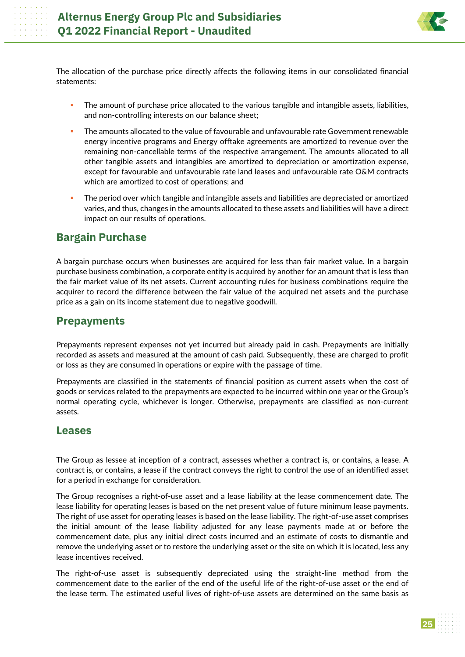

The allocation of the purchase price directly affects the following items in our consolidated financial statements:

- The amount of purchase price allocated to the various tangible and intangible assets, liabilities, and non-controlling interests on our balance sheet;
- The amounts allocated to the value of favourable and unfavourable rate Government renewable energy incentive programs and Energy offtake agreements are amortized to revenue over the remaining non-cancellable terms of the respective arrangement. The amounts allocated to all other tangible assets and intangibles are amortized to depreciation or amortization expense, except for favourable and unfavourable rate land leases and unfavourable rate O&M contracts which are amortized to cost of operations; and
- The period over which tangible and intangible assets and liabilities are depreciated or amortized varies, and thus, changes in the amounts allocated to these assets and liabilities will have a direct impact on our results of operations.

## **Bargain Purchase**

A bargain purchase occurs when businesses are acquired for less than fair market value. In a bargain purchase business combination, a corporate entity is acquired by another for an amount that is less than the fair market value of its net assets. Current accounting rules for business combinations require the acquirer to record the difference between the fair value of the acquired net assets and the purchase price as a gain on its income statement due to negative goodwill.

## **Prepayments**

Prepayments represent expenses not yet incurred but already paid in cash. Prepayments are initially recorded as assets and measured at the amount of cash paid. Subsequently, these are charged to profit or loss as they are consumed in operations or expire with the passage of time.

Prepayments are classified in the statements of financial position as current assets when the cost of goods or services related to the prepayments are expected to be incurred within one year or the Group's normal operating cycle, whichever is longer. Otherwise, prepayments are classified as non-current assets.

## **Leases**

The Group as lessee at inception of a contract, assesses whether a contract is, or contains, a lease. A contract is, or contains, a lease if the contract conveys the right to control the use of an identified asset for a period in exchange for consideration.

The Group recognises a right-of-use asset and a lease liability at the lease commencement date. The lease liability for operating leases is based on the net present value of future minimum lease payments. The right of use asset for operating leases is based on the lease liability. The right-of-use asset comprises the initial amount of the lease liability adjusted for any lease payments made at or before the commencement date, plus any initial direct costs incurred and an estimate of costs to dismantle and remove the underlying asset or to restore the underlying asset or the site on which it is located, less any lease incentives received.

The right-of-use asset is subsequently depreciated using the straight-line method from the commencement date to the earlier of the end of the useful life of the right-of-use asset or the end of the lease term. The estimated useful lives of right-of-use assets are determined on the same basis as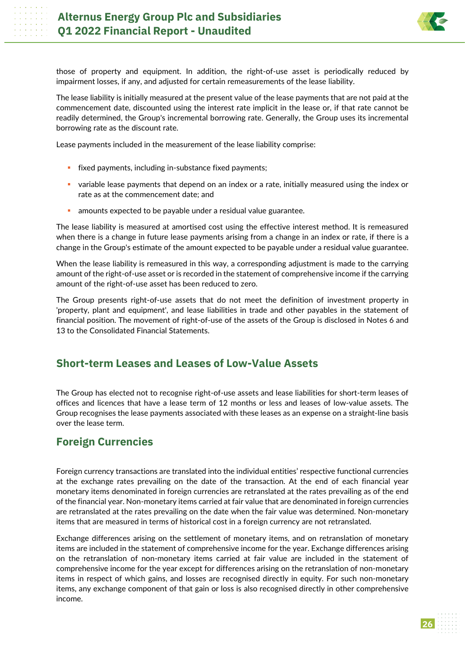

those of property and equipment. In addition, the right-of-use asset is periodically reduced by impairment losses, if any, and adjusted for certain remeasurements of the lease liability.

The lease liability is initially measured at the present value of the lease payments that are not paid at the commencement date, discounted using the interest rate implicit in the lease or, if that rate cannot be readily determined, the Group's incremental borrowing rate. Generally, the Group uses its incremental borrowing rate as the discount rate.

Lease payments included in the measurement of the lease liability comprise:

- $\blacksquare$  fixed payments, including in-substance fixed payments;
- variable lease payments that depend on an index or a rate, initially measured using the index or rate as at the commencement date; and
- **all amounts expected to be payable under a residual value guarantee.**

The lease liability is measured at amortised cost using the effective interest method. It is remeasured when there is a change in future lease payments arising from a change in an index or rate, if there is a change in the Group's estimate of the amount expected to be payable under a residual value guarantee.

When the lease liability is remeasured in this way, a corresponding adjustment is made to the carrying amount of the right-of-use asset or is recorded in the statement of comprehensive income if the carrying amount of the right-of-use asset has been reduced to zero.

The Group presents right-of-use assets that do not meet the definition of investment property in 'property, plant and equipment', and lease liabilities in trade and other payables in the statement of financial position. The movement of right-of-use of the assets of the Group is disclosed in Notes 6 and 13 to the Consolidated Financial Statements.

## **Short-term Leases and Leases of Low-Value Assets**

The Group has elected not to recognise right-of-use assets and lease liabilities for short-term leases of offices and licences that have a lease term of 12 months or less and leases of low-value assets. The Group recognises the lease payments associated with these leases as an expense on a straight-line basis over the lease term.

## **Foreign Currencies**

Foreign currency transactions are translated into the individual entities' respective functional currencies at the exchange rates prevailing on the date of the transaction. At the end of each financial year monetary items denominated in foreign currencies are retranslated at the rates prevailing as of the end of the financial year. Non-monetary items carried at fair value that are denominated in foreign currencies are retranslated at the rates prevailing on the date when the fair value was determined. Non-monetary items that are measured in terms of historical cost in a foreign currency are not retranslated.

Exchange differences arising on the settlement of monetary items, and on retranslation of monetary items are included in the statement of comprehensive income for the year. Exchange differences arising on the retranslation of non-monetary items carried at fair value are included in the statement of comprehensive income for the year except for differences arising on the retranslation of non-monetary items in respect of which gains, and losses are recognised directly in equity. For such non-monetary items, any exchange component of that gain or loss is also recognised directly in other comprehensive income.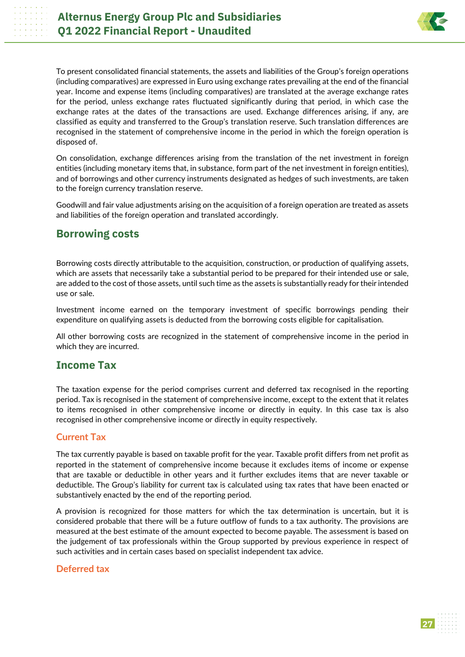

To present consolidated financial statements, the assets and liabilities of the Group's foreign operations (including comparatives) are expressed in Euro using exchange rates prevailing at the end of the financial year. Income and expense items (including comparatives) are translated at the average exchange rates for the period, unless exchange rates fluctuated significantly during that period, in which case the exchange rates at the dates of the transactions are used. Exchange differences arising, if any, are classified as equity and transferred to the Group's translation reserve. Such translation differences are recognised in the statement of comprehensive income in the period in which the foreign operation is disposed of.

On consolidation, exchange differences arising from the translation of the net investment in foreign entities (including monetary items that, in substance, form part of the net investment in foreign entities), and of borrowings and other currency instruments designated as hedges of such investments, are taken to the foreign currency translation reserve.

Goodwill and fair value adjustments arising on the acquisition of a foreign operation are treated as assets and liabilities of the foreign operation and translated accordingly.

## **Borrowing costs**

Borrowing costs directly attributable to the acquisition, construction, or production of qualifying assets, which are assets that necessarily take a substantial period to be prepared for their intended use or sale, are added to the cost of those assets, until such time as the assets is substantially ready for their intended use or sale.

Investment income earned on the temporary investment of specific borrowings pending their expenditure on qualifying assets is deducted from the borrowing costs eligible for capitalisation.

All other borrowing costs are recognized in the statement of comprehensive income in the period in which they are incurred.

## **Income Tax**

The taxation expense for the period comprises current and deferred tax recognised in the reporting period. Tax is recognised in the statement of comprehensive income, except to the extent that it relates to items recognised in other comprehensive income or directly in equity. In this case tax is also recognised in other comprehensive income or directly in equity respectively.

#### **Current Tax**

The tax currently payable is based on taxable profit for the year. Taxable profit differs from net profit as reported in the statement of comprehensive income because it excludes items of income or expense that are taxable or deductible in other years and it further excludes items that are never taxable or deductible. The Group's liability for current tax is calculated using tax rates that have been enacted or substantively enacted by the end of the reporting period.

A provision is recognized for those matters for which the tax determination is uncertain, but it is considered probable that there will be a future outflow of funds to a tax authority. The provisions are measured at the best estimate of the amount expected to become payable. The assessment is based on the judgement of tax professionals within the Group supported by previous experience in respect of such activities and in certain cases based on specialist independent tax advice.

## **Deferred tax**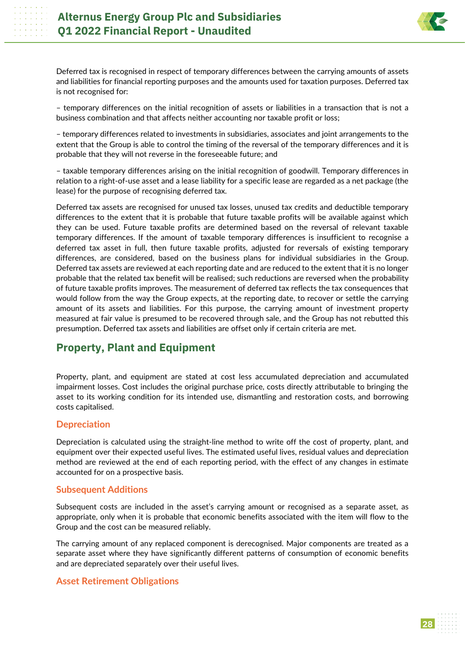

Deferred tax is recognised in respect of temporary differences between the carrying amounts of assets and liabilities for financial reporting purposes and the amounts used for taxation purposes. Deferred tax is not recognised for:

– temporary differences on the initial recognition of assets or liabilities in a transaction that is not a business combination and that affects neither accounting nor taxable profit or loss;

– temporary differences related to investments in subsidiaries, associates and joint arrangements to the extent that the Group is able to control the timing of the reversal of the temporary differences and it is probable that they will not reverse in the foreseeable future; and

– taxable temporary differences arising on the initial recognition of goodwill. Temporary differences in relation to a right-of-use asset and a lease liability for a specific lease are regarded as a net package (the lease) for the purpose of recognising deferred tax.

Deferred tax assets are recognised for unused tax losses, unused tax credits and deductible temporary differences to the extent that it is probable that future taxable profits will be available against which they can be used. Future taxable profits are determined based on the reversal of relevant taxable temporary differences. If the amount of taxable temporary differences is insufficient to recognise a deferred tax asset in full, then future taxable profits, adjusted for reversals of existing temporary differences, are considered, based on the business plans for individual subsidiaries in the Group. Deferred tax assets are reviewed at each reporting date and are reduced to the extent that it is no longer probable that the related tax benefit will be realised; such reductions are reversed when the probability of future taxable profits improves. The measurement of deferred tax reflects the tax consequences that would follow from the way the Group expects, at the reporting date, to recover or settle the carrying amount of its assets and liabilities. For this purpose, the carrying amount of investment property measured at fair value is presumed to be recovered through sale, and the Group has not rebutted this presumption. Deferred tax assets and liabilities are offset only if certain criteria are met.

## **Property, Plant and Equipment**

Property, plant, and equipment are stated at cost less accumulated depreciation and accumulated impairment losses. Cost includes the original purchase price, costs directly attributable to bringing the asset to its working condition for its intended use, dismantling and restoration costs, and borrowing costs capitalised.

## **Depreciation**

Depreciation is calculated using the straight-line method to write off the cost of property, plant, and equipment over their expected useful lives. The estimated useful lives, residual values and depreciation method are reviewed at the end of each reporting period, with the effect of any changes in estimate accounted for on a prospective basis.

#### **Subsequent Additions**

Subsequent costs are included in the asset's carrying amount or recognised as a separate asset, as appropriate, only when it is probable that economic benefits associated with the item will flow to the Group and the cost can be measured reliably.

The carrying amount of any replaced component is derecognised. Major components are treated as a separate asset where they have significantly different patterns of consumption of economic benefits and are depreciated separately over their useful lives.

## **Asset Retirement Obligations**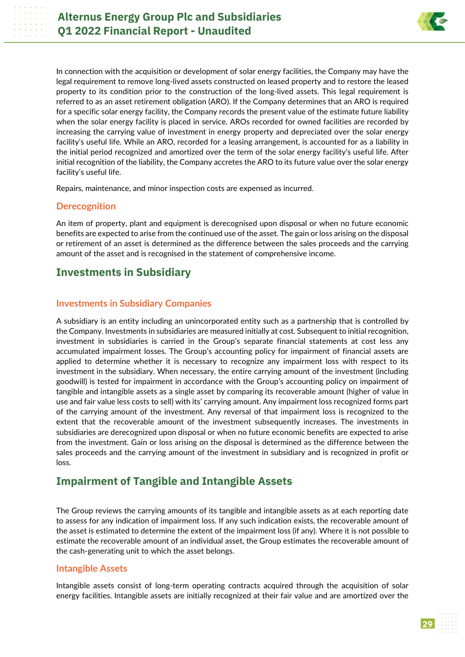

In connection with the acquisition or development of solar energy facilities, the Company may have the legal requirement to remove long-lived assets constructed on leased property and to restore the leased property to its condition prior to the construction of the long-lived assets. This legal requirement is referred to as an asset retirement obligation (ARO). If the Company determines that an ARO is required for a specific solar energy facility, the Company records the present value of the estimate future liability when the solar energy facility is placed in service. AROs recorded for owned facilities are recorded by increasing the carrying value of investment in energy property and depreciated over the solar energy facility's useful life. While an ARO, recorded for a leasing arrangement, is accounted for as a liability in the initial period recognized and amortized over the term of the solar energy facility's useful life. After initial recognition of the liability, the Company accretes the ARO to its future value over the solar energy facility's useful life.

Repairs, maintenance, and minor inspection costs are expensed as incurred.

## **Derecognition**

An item of property, plant and equipment is derecognised upon disposal or when no future economic benefits are expected to arise from the continued use of the asset. The gain or loss arising on the disposal or retirement of an asset is determined as the difference between the sales proceeds and the carrying amount of the asset and is recognised in the statement of comprehensive income.

## **Investments in Subsidiary**

## **Investments in Subsidiary Companies**

A subsidiary is an entity including an unincorporated entity such as a partnership that is controlled by the Company. Investments in subsidiaries are measured initially at cost. Subsequent to initial recognition, investment in subsidiaries is carried in the Group's separate financial statements at cost less any accumulated impairment losses. The Group's accounting policy for impairment of financial assets are applied to determine whether it is necessary to recognize any impairment loss with respect to its investment in the subsidiary. When necessary, the entire carrying amount of the investment (including goodwill) is tested for impairment in accordance with the Group's accounting policy on impairment of tangible and intangible assets as a single asset by comparing its recoverable amount (higher of value in use and fair value less costs to sell) with its' carrying amount. Any impairment loss recognized forms part of the carrying amount of the investment. Any reversal of that impairment loss is recognized to the extent that the recoverable amount of the investment subsequently increases. The investments in subsidiaries are derecognized upon disposal or when no future economic benefits are expected to arise from the investment. Gain or loss arising on the disposal is determined as the difference between the sales proceeds and the carrying amount of the investment in subsidiary and is recognized in profit or loss.

## **Impairment of Tangible and Intangible Assets**

The Group reviews the carrying amounts of its tangible and intangible assets as at each reporting date to assess for any indication of impairment loss. If any such indication exists, the recoverable amount of the asset is estimated to determine the extent of the impairment loss (if any). Where it is not possible to estimate the recoverable amount of an individual asset, the Group estimates the recoverable amount of the cash-generating unit to which the asset belongs.

#### **Intangible Assets**

Intangible assets consist of long-term operating contracts acquired through the acquisition of solar energy facilities. Intangible assets are initially recognized at their fair value and are amortized over the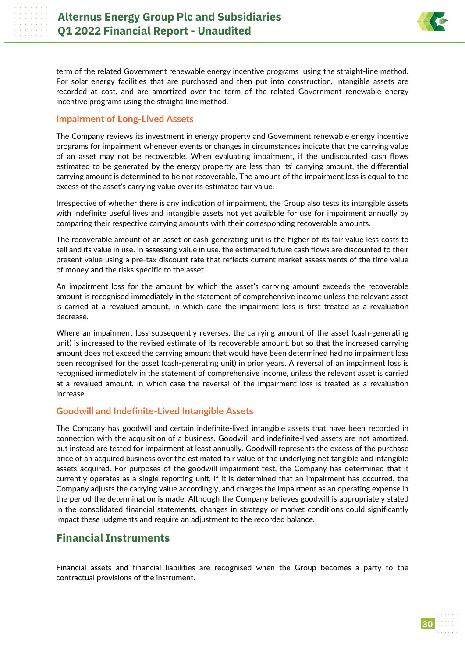

term of the related Government renewable energy incentive programs using the straight-line method. For solar energy facilities that are purchased and then put into construction, intangible assets are recorded at cost, and are amortized over the term of the related Government renewable energy incentive programs using the straight-line method.

## **Impairment of Long-Lived Assets**

The Company reviews its investment in energy property and Government renewable energy incentive programs for impairment whenever events or changes in circumstances indicate that the carrying value of an asset may not be recoverable. When evaluating impairment, if the undiscounted cash flows estimated to be generated by the energy property are less than its' carrying amount, the differential carrying amount is determined to be not recoverable. The amount of the impairment loss is equal to the excess of the asset's carrying value over its estimated fair value.

Irrespective of whether there is any indication of impairment, the Group also tests its intangible assets with indefinite useful lives and intangible assets not yet available for use for impairment annually by comparing their respective carrying amounts with their corresponding recoverable amounts.

The recoverable amount of an asset or cash-generating unit is the higher of its fair value less costs to sell and its value in use. In assessing value in use, the estimated future cash flows are discounted to their present value using a pre-tax discount rate that reflects current market assessments of the time value of money and the risks specific to the asset.

An impairment loss for the amount by which the asset's carrying amount exceeds the recoverable amount is recognised immediately in the statement of comprehensive income unless the relevant asset is carried at a revalued amount, in which case the impairment loss is first treated as a revaluation decrease.

Where an impairment loss subsequently reverses, the carrying amount of the asset (cash-generating unit) is increased to the revised estimate of its recoverable amount, but so that the increased carrying amount does not exceed the carrying amount that would have been determined had no impairment loss been recognised for the asset (cash-generating unit) in prior years. A reversal of an impairment loss is recognised immediately in the statement of comprehensive income, unless the relevant asset is carried at a revalued amount, in which case the reversal of the impairment loss is treated as a revaluation increase.

#### **Goodwill and Indefinite-Lived Intangible Assets**

The Company has goodwill and certain indefinite-lived intangible assets that have been recorded in connection with the acquisition of a business. Goodwill and indefinite-lived assets are not amortized, but instead are tested for impairment at least annually. Goodwill represents the excess of the purchase price of an acquired business over the estimated fair value of the underlying net tangible and intangible assets acquired. For purposes of the goodwill impairment test, the Company has determined that it currently operates as a single reporting unit. If it is determined that an impairment has occurred, the Company adjusts the carrying value accordingly, and charges the impairment as an operating expense in the period the determination is made. Although the Company believes goodwill is appropriately stated in the consolidated financial statements, changes in strategy or market conditions could significantly impact these judgments and require an adjustment to the recorded balance.

## **Financial Instruments**

Financial assets and financial liabilities are recognised when the Group becomes a party to the contractual provisions of the instrument.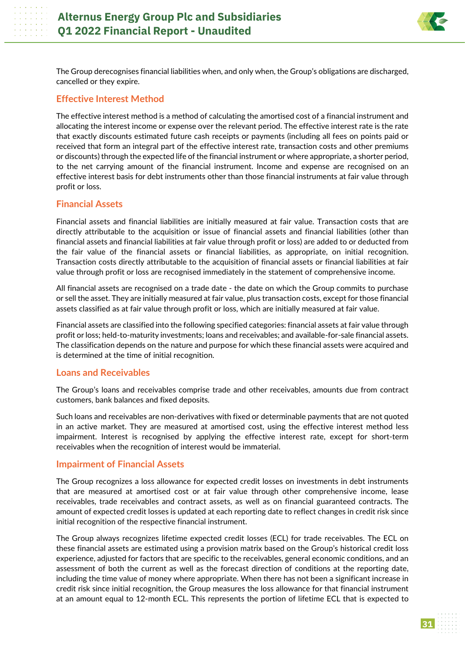

The Group derecognises financial liabilities when, and only when, the Group's obligations are discharged, cancelled or they expire.

## **Effective Interest Method**

The effective interest method is a method of calculating the amortised cost of a financial instrument and allocating the interest income or expense over the relevant period. The effective interest rate is the rate that exactly discounts estimated future cash receipts or payments (including all fees on points paid or received that form an integral part of the effective interest rate, transaction costs and other premiums or discounts) through the expected life of the financial instrument or where appropriate, a shorter period, to the net carrying amount of the financial instrument. Income and expense are recognised on an effective interest basis for debt instruments other than those financial instruments at fair value through profit or loss.

## **Financial Assets**

Financial assets and financial liabilities are initially measured at fair value. Transaction costs that are directly attributable to the acquisition or issue of financial assets and financial liabilities (other than financial assets and financial liabilities at fair value through profit or loss) are added to or deducted from the fair value of the financial assets or financial liabilities, as appropriate, on initial recognition. Transaction costs directly attributable to the acquisition of financial assets or financial liabilities at fair value through profit or loss are recognised immediately in the statement of comprehensive income.

All financial assets are recognised on a trade date - the date on which the Group commits to purchase or sell the asset. They are initially measured at fair value, plus transaction costs, except for those financial assets classified as at fair value through profit or loss, which are initially measured at fair value.

Financial assets are classified into the following specified categories: financial assets at fair value through profit or loss; held-to-maturity investments; loans and receivables; and available-for-sale financial assets. The classification depends on the nature and purpose for which these financial assets were acquired and is determined at the time of initial recognition.

#### **Loans and Receivables**

The Group's loans and receivables comprise trade and other receivables, amounts due from contract customers, bank balances and fixed deposits.

Such loans and receivables are non-derivatives with fixed or determinable payments that are not quoted in an active market. They are measured at amortised cost, using the effective interest method less impairment. Interest is recognised by applying the effective interest rate, except for short-term receivables when the recognition of interest would be immaterial.

## **Impairment of Financial Assets**

The Group recognizes a loss allowance for expected credit losses on investments in debt instruments that are measured at amortised cost or at fair value through other comprehensive income, lease receivables, trade receivables and contract assets, as well as on financial guaranteed contracts. The amount of expected credit losses is updated at each reporting date to reflect changes in credit risk since initial recognition of the respective financial instrument.

The Group always recognizes lifetime expected credit losses (ECL) for trade receivables. The ECL on these financial assets are estimated using a provision matrix based on the Group's historical credit loss experience, adjusted for factors that are specific to the receivables, general economic conditions, and an assessment of both the current as well as the forecast direction of conditions at the reporting date, including the time value of money where appropriate. When there has not been a significant increase in credit risk since initial recognition, the Group measures the loss allowance for that financial instrument at an amount equal to 12-month ECL. This represents the portion of lifetime ECL that is expected to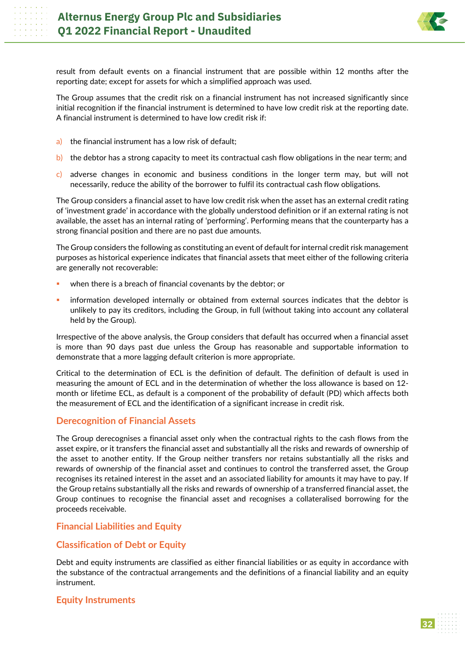

result from default events on a financial instrument that are possible within 12 months after the reporting date; except for assets for which a simplified approach was used.

The Group assumes that the credit risk on a financial instrument has not increased significantly since initial recognition if the financial instrument is determined to have low credit risk at the reporting date. A financial instrument is determined to have low credit risk if:

- a) the financial instrument has a low risk of default;
- b) the debtor has a strong capacity to meet its contractual cash flow obligations in the near term; and
- c) adverse changes in economic and business conditions in the longer term may, but will not necessarily, reduce the ability of the borrower to fulfil its contractual cash flow obligations.

The Group considers a financial asset to have low credit risk when the asset has an external credit rating of 'investment grade' in accordance with the globally understood definition or if an external rating is not available, the asset has an internal rating of 'performing'. Performing means that the counterparty has a strong financial position and there are no past due amounts.

The Group considers the following as constituting an event of default for internal credit risk management purposes as historical experience indicates that financial assets that meet either of the following criteria are generally not recoverable:

- when there is a breach of financial covenants by the debtor; or
- information developed internally or obtained from external sources indicates that the debtor is unlikely to pay its creditors, including the Group, in full (without taking into account any collateral held by the Group).

Irrespective of the above analysis, the Group considers that default has occurred when a financial asset is more than 90 days past due unless the Group has reasonable and supportable information to demonstrate that a more lagging default criterion is more appropriate.

Critical to the determination of ECL is the definition of default. The definition of default is used in measuring the amount of ECL and in the determination of whether the loss allowance is based on 12 month or lifetime ECL, as default is a component of the probability of default (PD) which affects both the measurement of ECL and the identification of a significant increase in credit risk.

#### **Derecognition of Financial Assets**

The Group derecognises a financial asset only when the contractual rights to the cash flows from the asset expire, or it transfers the financial asset and substantially all the risks and rewards of ownership of the asset to another entity. If the Group neither transfers nor retains substantially all the risks and rewards of ownership of the financial asset and continues to control the transferred asset, the Group recognises its retained interest in the asset and an associated liability for amounts it may have to pay. If the Group retains substantially all the risks and rewards of ownership of a transferred financial asset, the Group continues to recognise the financial asset and recognises a collateralised borrowing for the proceeds receivable.

#### **Financial Liabilities and Equity**

## **Classification of Debt or Equity**

Debt and equity instruments are classified as either financial liabilities or as equity in accordance with the substance of the contractual arrangements and the definitions of a financial liability and an equity instrument.

## **Equity Instruments**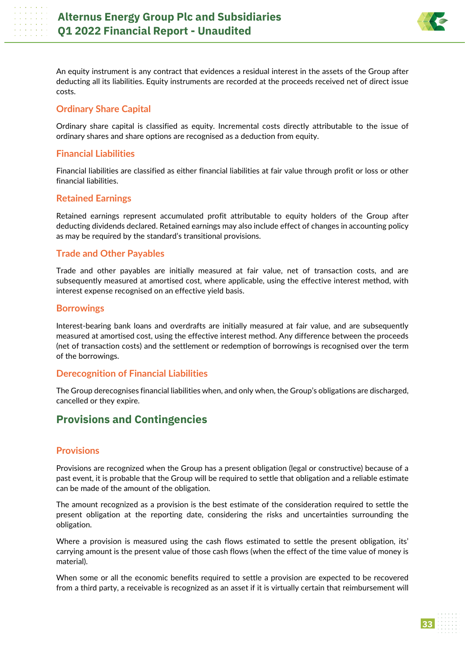

An equity instrument is any contract that evidences a residual interest in the assets of the Group after deducting all its liabilities. Equity instruments are recorded at the proceeds received net of direct issue costs.

## **Ordinary Share Capital**

Ordinary share capital is classified as equity. Incremental costs directly attributable to the issue of ordinary shares and share options are recognised as a deduction from equity.

## **Financial Liabilities**

Financial liabilities are classified as either financial liabilities at fair value through profit or loss or other financial liabilities.

## **Retained Earnings**

Retained earnings represent accumulated profit attributable to equity holders of the Group after deducting dividends declared. Retained earnings may also include effect of changes in accounting policy as may be required by the standard's transitional provisions.

## **Trade and Other Payables**

Trade and other payables are initially measured at fair value, net of transaction costs, and are subsequently measured at amortised cost, where applicable, using the effective interest method, with interest expense recognised on an effective yield basis.

#### **Borrowings**

Interest-bearing bank loans and overdrafts are initially measured at fair value, and are subsequently measured at amortised cost, using the effective interest method. Any difference between the proceeds (net of transaction costs) and the settlement or redemption of borrowings is recognised over the term of the borrowings.

#### **Derecognition of Financial Liabilities**

The Group derecognises financial liabilities when, and only when, the Group's obligations are discharged, cancelled or they expire.

## **Provisions and Contingencies**

#### **Provisions**

Provisions are recognized when the Group has a present obligation (legal or constructive) because of a past event, it is probable that the Group will be required to settle that obligation and a reliable estimate can be made of the amount of the obligation.

The amount recognized as a provision is the best estimate of the consideration required to settle the present obligation at the reporting date, considering the risks and uncertainties surrounding the obligation.

Where a provision is measured using the cash flows estimated to settle the present obligation, its' carrying amount is the present value of those cash flows (when the effect of the time value of money is material).

When some or all the economic benefits required to settle a provision are expected to be recovered from a third party, a receivable is recognized as an asset if it is virtually certain that reimbursement will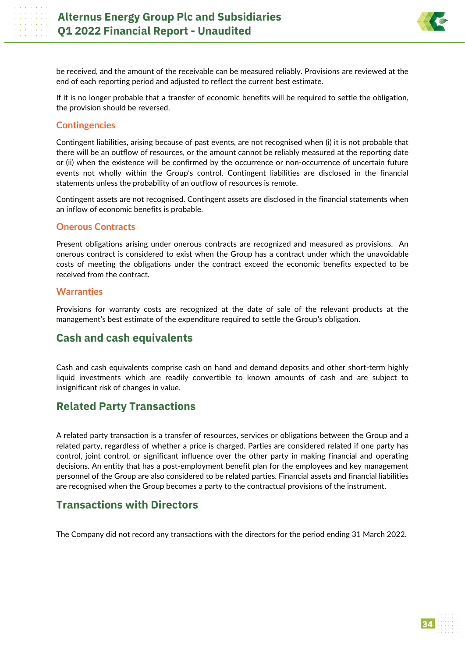

be received, and the amount of the receivable can be measured reliably. Provisions are reviewed at the end of each reporting period and adjusted to reflect the current best estimate.

If it is no longer probable that a transfer of economic benefits will be required to settle the obligation, the provision should be reversed.

#### **Contingencies**

Contingent liabilities, arising because of past events, are not recognised when (i) it is not probable that there will be an outflow of resources, or the amount cannot be reliably measured at the reporting date or (ii) when the existence will be confirmed by the occurrence or non-occurrence of uncertain future events not wholly within the Group's control. Contingent liabilities are disclosed in the financial statements unless the probability of an outflow of resources is remote.

Contingent assets are not recognised. Contingent assets are disclosed in the financial statements when an inflow of economic benefits is probable.

#### **Onerous Contracts**

Present obligations arising under onerous contracts are recognized and measured as provisions. An onerous contract is considered to exist when the Group has a contract under which the unavoidable costs of meeting the obligations under the contract exceed the economic benefits expected to be received from the contract.

#### **Warranties**

Provisions for warranty costs are recognized at the date of sale of the relevant products at the management's best estimate of the expenditure required to settle the Group's obligation.

## **Cash and cash equivalents**

Cash and cash equivalents comprise cash on hand and demand deposits and other short-term highly liquid investments which are readily convertible to known amounts of cash and are subject to insignificant risk of changes in value.

## **Related Party Transactions**

A related party transaction is a transfer of resources, services or obligations between the Group and a related party, regardless of whether a price is charged. Parties are considered related if one party has control, joint control, or significant influence over the other party in making financial and operating decisions. An entity that has a post-employment benefit plan for the employees and key management personnel of the Group are also considered to be related parties. Financial assets and financial liabilities are recognised when the Group becomes a party to the contractual provisions of the instrument.

## **Transactions with Directors**

The Company did not record any transactions with the directors for the period ending 31 March 2022.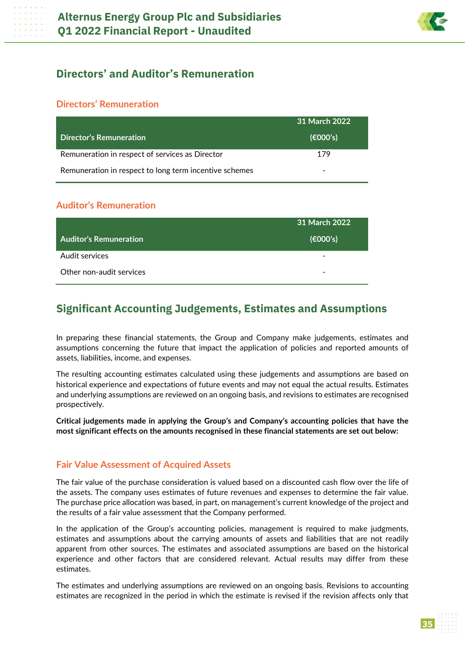

## **Directors' and Auditor's Remuneration**

## **Directors' Remuneration**

|                                                        | 31 March 2022 |
|--------------------------------------------------------|---------------|
| <b>Director's Remuneration</b>                         | (6000's)      |
| Remuneration in respect of services as Director        | 179           |
| Remuneration in respect to long term incentive schemes |               |

## **Auditor's Remuneration**

|                          | 31 March 2022 |
|--------------------------|---------------|
| Auditor's Remuneration   | (6000's)      |
| Audit services           |               |
| Other non-audit services | -             |

# **Significant Accounting Judgements, Estimates and Assumptions**

In preparing these financial statements, the Group and Company make judgements, estimates and assumptions concerning the future that impact the application of policies and reported amounts of assets, liabilities, income, and expenses.

The resulting accounting estimates calculated using these judgements and assumptions are based on historical experience and expectations of future events and may not equal the actual results. Estimates and underlying assumptions are reviewed on an ongoing basis, and revisions to estimates are recognised prospectively.

**Critical judgements made in applying the Group's and Company's accounting policies that have the most significant effects on the amounts recognised in these financial statements are set out below:**

## **Fair Value Assessment of Acquired Assets**

The fair value of the purchase consideration is valued based on a discounted cash flow over the life of the assets. The company uses estimates of future revenues and expenses to determine the fair value. The purchase price allocation was based, in part, on management's current knowledge of the project and the results of a fair value assessment that the Company performed.

In the application of the Group's accounting policies, management is required to make judgments, estimates and assumptions about the carrying amounts of assets and liabilities that are not readily apparent from other sources. The estimates and associated assumptions are based on the historical experience and other factors that are considered relevant. Actual results may differ from these estimates.

The estimates and underlying assumptions are reviewed on an ongoing basis. Revisions to accounting estimates are recognized in the period in which the estimate is revised if the revision affects only that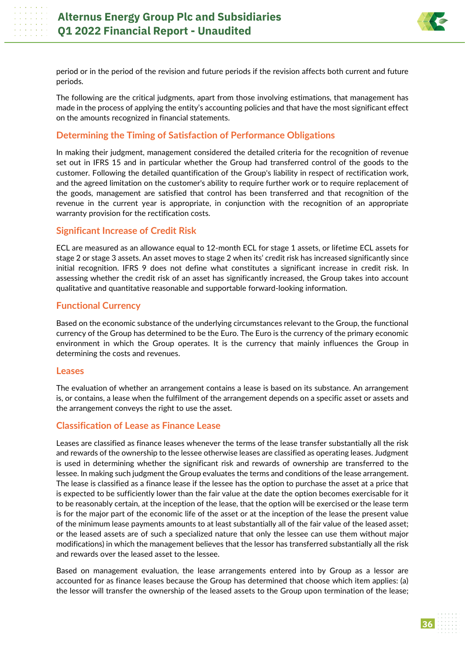

period or in the period of the revision and future periods if the revision affects both current and future periods.

The following are the critical judgments, apart from those involving estimations, that management has made in the process of applying the entity's accounting policies and that have the most significant effect on the amounts recognized in financial statements.

## **Determining the Timing of Satisfaction of Performance Obligations**

In making their judgment, management considered the detailed criteria for the recognition of revenue set out in IFRS 15 and in particular whether the Group had transferred control of the goods to the customer. Following the detailed quantification of the Group's liability in respect of rectification work, and the agreed limitation on the customer's ability to require further work or to require replacement of the goods, management are satisfied that control has been transferred and that recognition of the revenue in the current year is appropriate, in conjunction with the recognition of an appropriate warranty provision for the rectification costs.

## **Significant Increase of Credit Risk**

ECL are measured as an allowance equal to 12-month ECL for stage 1 assets, or lifetime ECL assets for stage 2 or stage 3 assets. An asset moves to stage 2 when its' credit risk has increased significantly since initial recognition. IFRS 9 does not define what constitutes a significant increase in credit risk. In assessing whether the credit risk of an asset has significantly increased, the Group takes into account qualitative and quantitative reasonable and supportable forward-looking information.

## **Functional Currency**

Based on the economic substance of the underlying circumstances relevant to the Group, the functional currency of the Group has determined to be the Euro. The Euro is the currency of the primary economic environment in which the Group operates. It is the currency that mainly influences the Group in determining the costs and revenues.

#### **Leases**

The evaluation of whether an arrangement contains a lease is based on its substance. An arrangement is, or contains, a lease when the fulfilment of the arrangement depends on a specific asset or assets and the arrangement conveys the right to use the asset.

#### **Classification of Lease as Finance Lease**

Leases are classified as finance leases whenever the terms of the lease transfer substantially all the risk and rewards of the ownership to the lessee otherwise leases are classified as operating leases. Judgment is used in determining whether the significant risk and rewards of ownership are transferred to the lessee. In making such judgment the Group evaluates the terms and conditions of the lease arrangement. The lease is classified as a finance lease if the lessee has the option to purchase the asset at a price that is expected to be sufficiently lower than the fair value at the date the option becomes exercisable for it to be reasonably certain, at the inception of the lease, that the option will be exercised or the lease term is for the major part of the economic life of the asset or at the inception of the lease the present value of the minimum lease payments amounts to at least substantially all of the fair value of the leased asset; or the leased assets are of such a specialized nature that only the lessee can use them without major modifications) in which the management believes that the lessor has transferred substantially all the risk and rewards over the leased asset to the lessee.

Based on management evaluation, the lease arrangements entered into by Group as a lessor are accounted for as finance leases because the Group has determined that choose which item applies: (a) the lessor will transfer the ownership of the leased assets to the Group upon termination of the lease;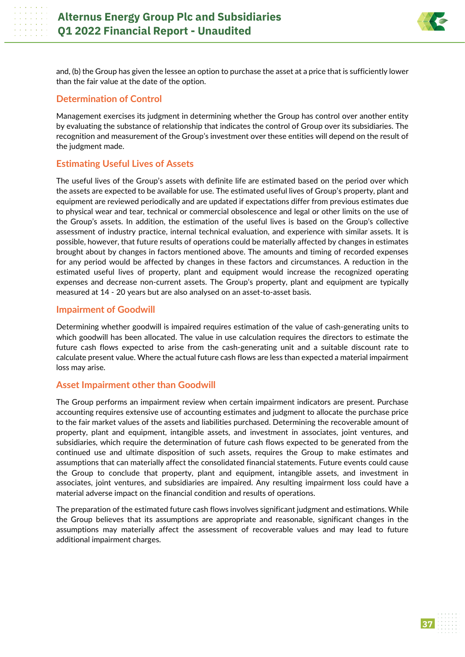

and, (b) the Group has given the lessee an option to purchase the asset at a price that is sufficiently lower than the fair value at the date of the option.

## **Determination of Control**

Management exercises its judgment in determining whether the Group has control over another entity by evaluating the substance of relationship that indicates the control of Group over its subsidiaries. The recognition and measurement of the Group's investment over these entities will depend on the result of the judgment made.

## **Estimating Useful Lives of Assets**

The useful lives of the Group's assets with definite life are estimated based on the period over which the assets are expected to be available for use. The estimated useful lives of Group's property, plant and equipment are reviewed periodically and are updated if expectations differ from previous estimates due to physical wear and tear, technical or commercial obsolescence and legal or other limits on the use of the Group's assets. In addition, the estimation of the useful lives is based on the Group's collective assessment of industry practice, internal technical evaluation, and experience with similar assets. It is possible, however, that future results of operations could be materially affected by changes in estimates brought about by changes in factors mentioned above. The amounts and timing of recorded expenses for any period would be affected by changes in these factors and circumstances. A reduction in the estimated useful lives of property, plant and equipment would increase the recognized operating expenses and decrease non-current assets. The Group's property, plant and equipment are typically measured at 14 - 20 years but are also analysed on an asset-to-asset basis.

## **Impairment of Goodwill**

Determining whether goodwill is impaired requires estimation of the value of cash-generating units to which goodwill has been allocated. The value in use calculation requires the directors to estimate the future cash flows expected to arise from the cash-generating unit and a suitable discount rate to calculate present value. Where the actual future cash flows are less than expected a material impairment loss may arise.

#### **Asset Impairment other than Goodwill**

The Group performs an impairment review when certain impairment indicators are present. Purchase accounting requires extensive use of accounting estimates and judgment to allocate the purchase price to the fair market values of the assets and liabilities purchased. Determining the recoverable amount of property, plant and equipment, intangible assets, and investment in associates, joint ventures, and subsidiaries, which require the determination of future cash flows expected to be generated from the continued use and ultimate disposition of such assets, requires the Group to make estimates and assumptions that can materially affect the consolidated financial statements. Future events could cause the Group to conclude that property, plant and equipment, intangible assets, and investment in associates, joint ventures, and subsidiaries are impaired. Any resulting impairment loss could have a material adverse impact on the financial condition and results of operations.

The preparation of the estimated future cash flows involves significant judgment and estimations. While the Group believes that its assumptions are appropriate and reasonable, significant changes in the assumptions may materially affect the assessment of recoverable values and may lead to future additional impairment charges.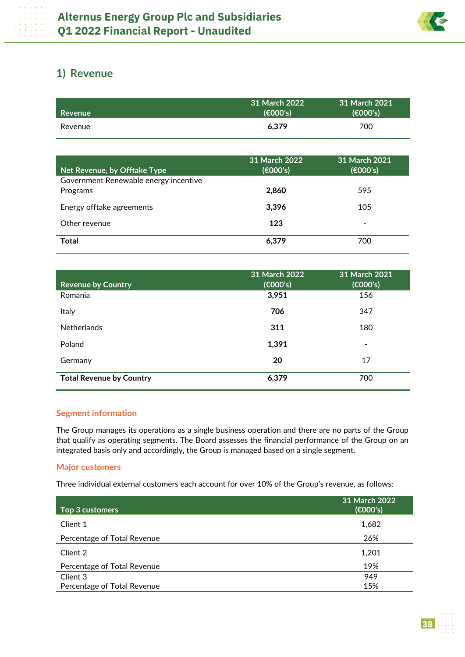

## **1) Revenue**

| Revenue | 31 March 2022<br>(€000's) | 31 March 2021<br>(6000's) |
|---------|---------------------------|---------------------------|
| Revenue | 6.379                     | 700                       |

| Net Revenue, by Offtake Type          | 31 March 2022<br>(€000's) | 31 March 2021<br>(6000's) |
|---------------------------------------|---------------------------|---------------------------|
| Government Renewable energy incentive | 2,860                     | 595                       |
| Programs                              |                           |                           |
| Energy offtake agreements             | 3,396                     | 105                       |
| Other revenue                         | 123                       | $\blacksquare$            |
| Total                                 | 6,379                     | 700                       |

| <b>Revenue by Country</b>       | 31 March 2022<br>(€000's) | 31 March 2021<br>(6000's) |
|---------------------------------|---------------------------|---------------------------|
| Romania                         | 3,951                     | 156                       |
| Italy                           | 706                       | 347                       |
| <b>Netherlands</b>              | 311                       | 180                       |
| Poland                          | 1,391                     | $\blacksquare$            |
| Germany                         | 20                        | 17                        |
| <b>Total Revenue by Country</b> | 6,379                     | 700                       |

## **Segment information**

The Group manages its operations as a single business operation and there are no parts of the Group that qualify as operating segments. The Board assesses the financial performance of the Group on an integrated basis only and accordingly, the Group is managed based on a single segment.

#### **Major customers**

Three individual external customers each account for over 10% of the Group's revenue, as follows:

| Top 3 customers             | 31 March 2022<br>(6000's) |
|-----------------------------|---------------------------|
| Client 1                    | 1,682                     |
| Percentage of Total Revenue | 26%                       |
| Client 2                    | 1,201                     |
| Percentage of Total Revenue | 19%                       |
| Client 3                    | 949                       |
| Percentage of Total Revenue | 15%                       |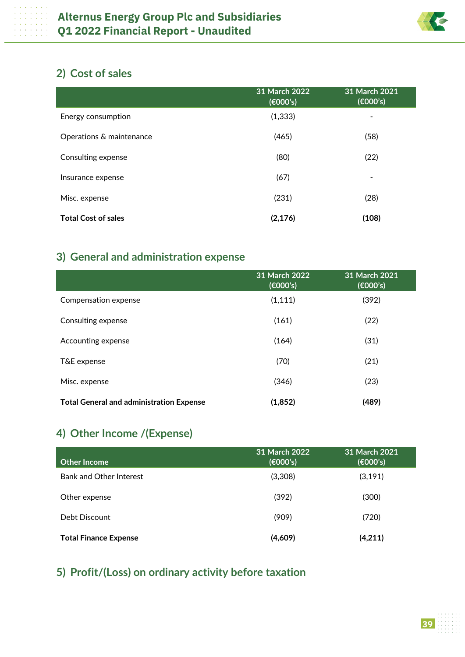

## **2) Cost of sales**

|                            | 31 March 2022<br>(6000's) | 31 March 2021<br>(6000's) |
|----------------------------|---------------------------|---------------------------|
| Energy consumption         | (1, 333)                  | $\blacksquare$            |
| Operations & maintenance   | (465)                     | (58)                      |
| Consulting expense         | (80)                      | (22)                      |
| Insurance expense          | (67)                      | $\overline{\phantom{a}}$  |
| Misc. expense              | (231)                     | (28)                      |
| <b>Total Cost of sales</b> | (2, 176)                  | (108)                     |

# **3) General and administration expense**

|                                                 | <b>31 March 2022</b><br>(6000's) | 31 March 2021<br>(6000's) |
|-------------------------------------------------|----------------------------------|---------------------------|
| Compensation expense                            | (1, 111)                         | (392)                     |
| Consulting expense                              | (161)                            | (22)                      |
| Accounting expense                              | (164)                            | (31)                      |
| T&E expense                                     | (70)                             | (21)                      |
| Misc. expense                                   | (346)                            | (23)                      |
| <b>Total General and administration Expense</b> | (1, 852)                         | (489)                     |

# **4) Other Income /(Expense)**

| <b>Other Income</b>          | 31 March 2022<br>(6000's) | 31 March 2021<br>(6000's) |
|------------------------------|---------------------------|---------------------------|
| Bank and Other Interest      | (3,308)                   | (3, 191)                  |
| Other expense                | (392)                     | (300)                     |
| Debt Discount                | (909)                     | (720)                     |
| <b>Total Finance Expense</b> | (4,609)                   | (4,211)                   |

# **5) Profit/(Loss) on ordinary activity before taxation**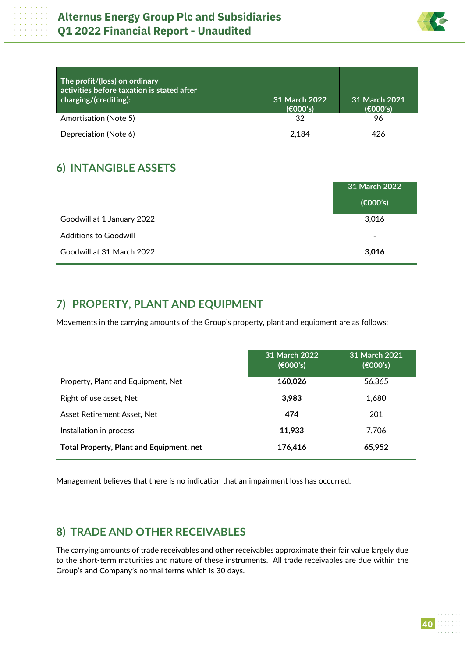

| The profit/(loss) on ordinary<br>activities before taxation is stated after<br>charging/(crediting): | 31 March 2022<br>(6000's) | 31 March 2021<br>(€000's) |
|------------------------------------------------------------------------------------------------------|---------------------------|---------------------------|
| Amortisation (Note 5)                                                                                | 32                        | 96                        |
| Depreciation (Note 6)                                                                                | 2.184                     | 426                       |

# **6) INTANGIBLE ASSETS**

|                              | 31 March 2022            |
|------------------------------|--------------------------|
|                              | (6000's)                 |
| Goodwill at 1 January 2022   | 3,016                    |
| <b>Additions to Goodwill</b> | $\overline{\phantom{a}}$ |
| Goodwill at 31 March 2022    | 3,016                    |

# **7) PROPERTY, PLANT AND EQUIPMENT**

Movements in the carrying amounts of the Group's property, plant and equipment are as follows:

|                                          | <b>31 March 2022</b><br>(6000's) | 31 March 2021<br>(€000's) |
|------------------------------------------|----------------------------------|---------------------------|
| Property, Plant and Equipment, Net       | 160,026                          | 56,365                    |
| Right of use asset, Net                  | 3,983                            | 1,680                     |
| Asset Retirement Asset, Net              | 474                              | 201                       |
| Installation in process                  | 11.933                           | 7.706                     |
| Total Property, Plant and Equipment, net | 176,416                          | 65,952                    |

Management believes that there is no indication that an impairment loss has occurred.

# **8) TRADE AND OTHER RECEIVABLES**

The carrying amounts of trade receivables and other receivables approximate their fair value largely due to the short-term maturities and nature of these instruments. All trade receivables are due within the Group's and Company's normal terms which is 30 days.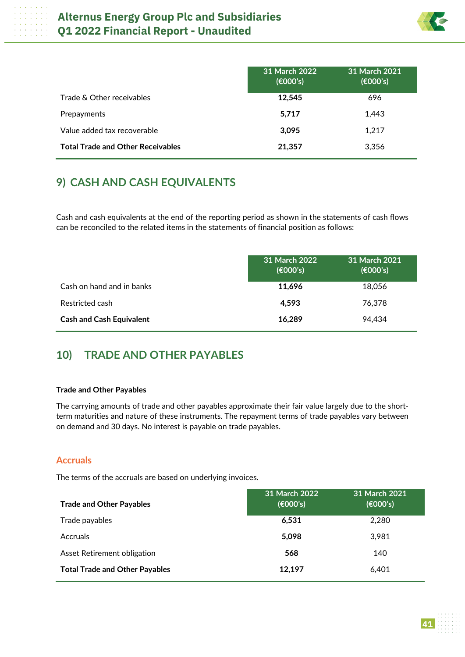

|                                          | 31 March 2022<br>(6000's) | 31 March 2021<br>(6000's) |
|------------------------------------------|---------------------------|---------------------------|
| Trade & Other receivables                | 12.545                    | 696                       |
| Prepayments                              | 5,717                     | 1.443                     |
| Value added tax recoverable              | 3.095                     | 1.217                     |
| <b>Total Trade and Other Receivables</b> | 21,357                    | 3,356                     |

# **9) CASH AND CASH EQUIVALENTS**

Cash and cash equivalents at the end of the reporting period as shown in the statements of cash flows can be reconciled to the related items in the statements of financial position as follows:

|                                 | 31 March 2022<br>(6000's) | 31 March 2021<br>(6000's) |
|---------------------------------|---------------------------|---------------------------|
| Cash on hand and in banks       | 11,696                    | 18,056                    |
| Restricted cash                 | 4.593                     | 76,378                    |
| <b>Cash and Cash Equivalent</b> | 16,289                    | 94,434                    |

# **10) TRADE AND OTHER PAYABLES**

#### **Trade and Other Payables**

The carrying amounts of trade and other payables approximate their fair value largely due to the shortterm maturities and nature of these instruments. The repayment terms of trade payables vary between on demand and 30 days. No interest is payable on trade payables.

## **Accruals**

The terms of the accruals are based on underlying invoices.

| <b>Trade and Other Payables</b>       | 31 March 2022<br>(6000's) | 31 March 2021<br>(6000's) |
|---------------------------------------|---------------------------|---------------------------|
| Trade payables                        | 6,531                     | 2.280                     |
| <b>Accruals</b>                       | 5.098                     | 3,981                     |
| Asset Retirement obligation           | 568                       | 140                       |
| <b>Total Trade and Other Payables</b> | 12.197                    | 6.401                     |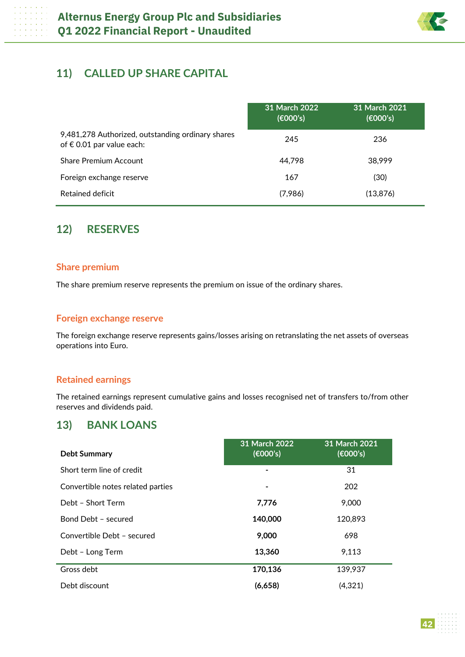

## **11) CALLED UP SHARE CAPITAL**

|                                                                                         | 31 March 2022<br>(6000's) | 31 March 2021<br>(6000's) |
|-----------------------------------------------------------------------------------------|---------------------------|---------------------------|
| 9,481,278 Authorized, outstanding ordinary shares<br>of $\epsilon$ 0.01 par value each: | 245                       | 236                       |
| <b>Share Premium Account</b>                                                            | 44.798                    | 38,999                    |
| Foreign exchange reserve                                                                | 167                       | (30)                      |
| Retained deficit                                                                        | (7,986)                   | (13, 876)                 |

## **12) RESERVES**

#### **Share premium**

The share premium reserve represents the premium on issue of the ordinary shares.

#### **Foreign exchange reserve**

The foreign exchange reserve represents gains/losses arising on retranslating the net assets of overseas operations into Euro.

#### **Retained earnings**

The retained earnings represent cumulative gains and losses recognised net of transfers to/from other reserves and dividends paid.

## **13) BANK LOANS**

| <b>Debt Summary</b>               | 31 March 2022<br>(6000's) | 31 March 2021<br>(6000's) |
|-----------------------------------|---------------------------|---------------------------|
| Short term line of credit         |                           | 31                        |
| Convertible notes related parties |                           | 202                       |
| Debt - Short Term                 | 7,776                     | 9,000                     |
| Bond Debt - secured               | 140,000                   | 120,893                   |
| Convertible Debt - secured        | 9,000                     | 698                       |
| Debt - Long Term                  | 13,360                    | 9,113                     |
| Gross debt                        | 170,136                   | 139,937                   |
| Debt discount                     | (6,658)                   | (4,321)                   |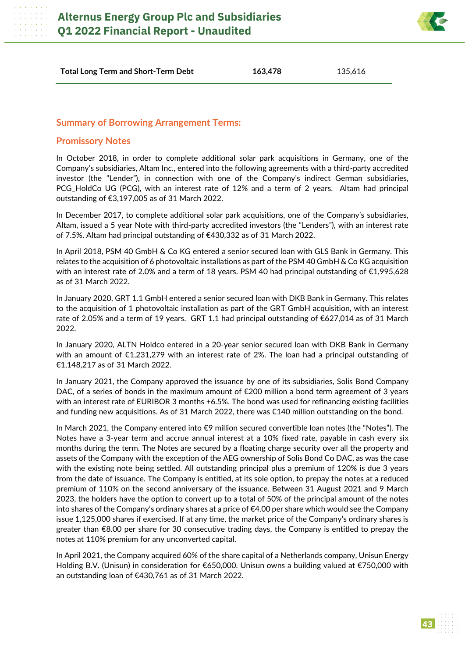

| <b>Total Long Term and Short-Term Debt</b> | 163,478 | 135,616 |
|--------------------------------------------|---------|---------|
|--------------------------------------------|---------|---------|

#### **Summary of Borrowing Arrangement Terms:**

#### **Promissory Notes**

In October 2018, in order to complete additional solar park acquisitions in Germany, one of the Company's subsidiaries, Altam Inc., entered into the following agreements with a third-party accredited investor (the "Lender"), in connection with one of the Company's indirect German subsidiaries, PCG\_HoldCo UG (PCG), with an interest rate of 12% and a term of 2 years. Altam had principal outstanding of €3,197,005 as of 31 March 2022.

In December 2017, to complete additional solar park acquisitions, one of the Company's subsidiaries, Altam, issued a 5 year Note with third-party accredited investors (the "Lenders"), with an interest rate of 7.5%. Altam had principal outstanding of €430,332 as of 31 March 2022.

In April 2018, PSM 40 GmbH & Co KG entered a senior secured loan with GLS Bank in Germany. This relates to the acquisition of 6 photovoltaic installations as part of the PSM 40 GmbH & Co KG acquisition with an interest rate of 2.0% and a term of 18 years. PSM 40 had principal outstanding of €1,995,628 as of 31 March 2022.

In January 2020, GRT 1.1 GmbH entered a senior secured loan with DKB Bank in Germany. This relates to the acquisition of 1 photovoltaic installation as part of the GRT GmbH acquisition, with an interest rate of 2.05% and a term of 19 years. GRT 1.1 had principal outstanding of €627,014 as of 31 March 2022.

In January 2020, ALTN Holdco entered in a 20-year senior secured loan with DKB Bank in Germany with an amount of €1,231,279 with an interest rate of 2%. The loan had a principal outstanding of €1,148,217 as of 31 March 2022.

In January 2021, the Company approved the issuance by one of its subsidiaries, Solis Bond Company DAC, of a series of bonds in the maximum amount of  $E$ 200 million a bond term agreement of 3 years with an interest rate of EURIBOR 3 months +6.5%. The bond was used for refinancing existing facilities and funding new acquisitions. As of 31 March 2022, there was €140 million outstanding on the bond.

In March 2021, the Company entered into €9 million secured convertible loan notes (the "Notes"). The Notes have a 3-year term and accrue annual interest at a 10% fixed rate, payable in cash every six months during the term. The Notes are secured by a floating charge security over all the property and assets of the Company with the exception of the AEG ownership of Solis Bond Co DAC, as was the case with the existing note being settled. All outstanding principal plus a premium of 120% is due 3 years from the date of issuance. The Company is entitled, at its sole option, to prepay the notes at a reduced premium of 110% on the second anniversary of the issuance. Between 31 August 2021 and 9 March 2023, the holders have the option to convert up to a total of 50% of the principal amount of the notes into shares of the Company's ordinary shares at a price of €4.00 per share which would see the Company issue 1,125,000 shares if exercised. If at any time, the market price of the Company's ordinary shares is greater than €8.00 per share for 30 consecutive trading days, the Company is entitled to prepay the notes at 110% premium for any unconverted capital.

In April 2021, the Company acquired 60% of the share capital of a Netherlands company, Unisun Energy Holding B.V. (Unisun) in consideration for €650,000. Unisun owns a building valued at €750,000 with an outstanding loan of €430,761 as of 31 March 2022.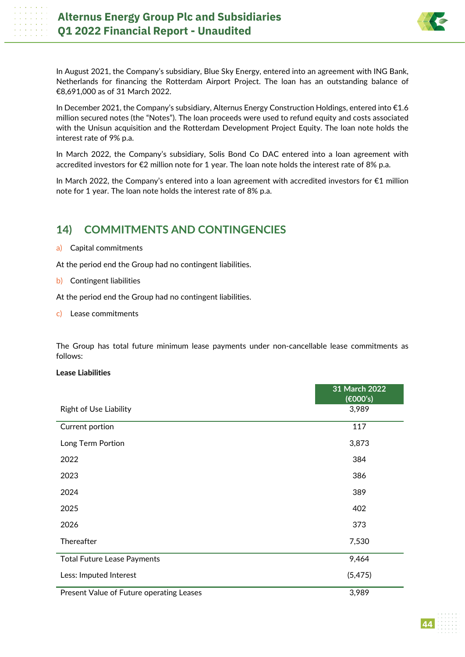

In August 2021, the Company's subsidiary, Blue Sky Energy, entered into an agreement with ING Bank, Netherlands for financing the Rotterdam Airport Project. The loan has an outstanding balance of €8,691,000 as of 31 March 2022.

In December 2021, the Company's subsidiary, Alternus Energy Construction Holdings, entered into €1.6 million secured notes (the "Notes"). The loan proceeds were used to refund equity and costs associated with the Unisun acquisition and the Rotterdam Development Project Equity. The loan note holds the interest rate of 9% p.a.

In March 2022, the Company's subsidiary, Solis Bond Co DAC entered into a loan agreement with accredited investors for €2 million note for 1 year. The loan note holds the interest rate of 8% p.a.

In March 2022, the Company's entered into a loan agreement with accredited investors for  $\epsilon_1$  million note for 1 year. The loan note holds the interest rate of 8% p.a.

## **14) COMMITMENTS AND CONTINGENCIES**

a) Capital commitments

At the period end the Group had no contingent liabilities.

b) Contingent liabilities

At the period end the Group had no contingent liabilities.

c) Lease commitments

The Group has total future minimum lease payments under non-cancellable lease commitments as follows:

#### **Lease Liabilities**

|                                          | 31 March 2022<br>(€000's) |
|------------------------------------------|---------------------------|
| <b>Right of Use Liability</b>            | 3,989                     |
| Current portion                          | 117                       |
| Long Term Portion                        | 3,873                     |
| 2022                                     | 384                       |
| 2023                                     | 386                       |
| 2024                                     | 389                       |
| 2025                                     | 402                       |
| 2026                                     | 373                       |
| Thereafter                               | 7,530                     |
| <b>Total Future Lease Payments</b>       | 9,464                     |
| Less: Imputed Interest                   | (5, 475)                  |
| Present Value of Future operating Leases | 3,989                     |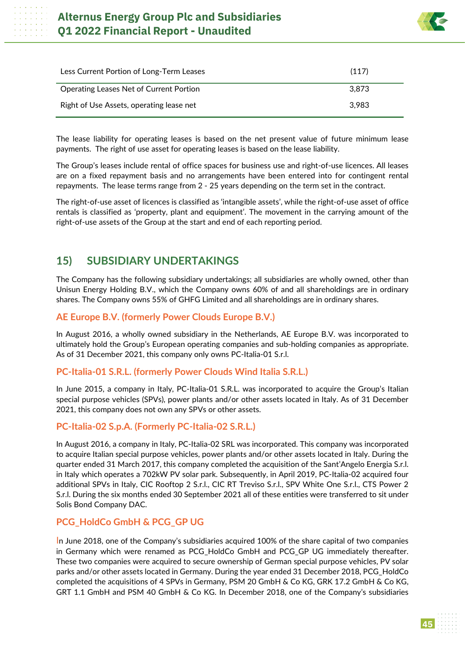

| Less Current Portion of Long-Term Leases | (117) |
|------------------------------------------|-------|
| Operating Leases Net of Current Portion  | 3.873 |
| Right of Use Assets, operating lease net | 3.983 |

The lease liability for operating leases is based on the net present value of future minimum lease payments. The right of use asset for operating leases is based on the lease liability.

The Group's leases include rental of office spaces for business use and right-of-use licences. All leases are on a fixed repayment basis and no arrangements have been entered into for contingent rental repayments. The lease terms range from 2 - 25 years depending on the term set in the contract.

The right-of-use asset of licences is classified as 'intangible assets', while the right-of-use asset of office rentals is classified as 'property, plant and equipment'. The movement in the carrying amount of the right-of-use assets of the Group at the start and end of each reporting period.

## **15) SUBSIDIARY UNDERTAKINGS**

The Company has the following subsidiary undertakings; all subsidiaries are wholly owned, other than Unisun Energy Holding B.V., which the Company owns 60% of and all shareholdings are in ordinary shares. The Company owns 55% of GHFG Limited and all shareholdings are in ordinary shares.

## **AE Europe B.V. (formerly Power Clouds Europe B.V.)**

In August 2016, a wholly owned subsidiary in the Netherlands, AE Europe B.V. was incorporated to ultimately hold the Group's European operating companies and sub-holding companies as appropriate. As of 31 December 2021, this company only owns PC-Italia-01 S.r.l.

## **PC-Italia-01 S.R.L. (formerly Power Clouds Wind Italia S.R.L.)**

In June 2015, a company in Italy, PC-Italia-01 S.R.L. was incorporated to acquire the Group's Italian special purpose vehicles (SPVs), power plants and/or other assets located in Italy. As of 31 December 2021, this company does not own any SPVs or other assets.

## **PC-Italia-02 S.p.A. (Formerly PC-Italia-02 S.R.L.)**

In August 2016, a company in Italy, PC-Italia-02 SRL was incorporated. This company was incorporated to acquire Italian special purpose vehicles, power plants and/or other assets located in Italy. During the quarter ended 31 March 2017, this company completed the acquisition of the Sant'Angelo Energia S.r.l. in Italy which operates a 702kW PV solar park. Subsequently, in April 2019, PC-Italia-02 acquired four additional SPVs in Italy, CIC Rooftop 2 S.r.l., CIC RT Treviso S.r.l., SPV White One S.r.l., CTS Power 2 S.r.l. During the six months ended 30 September 2021 all of these entities were transferred to sit under Solis Bond Company DAC.

## **PCG\_HoldCo GmbH & PCG\_GP UG**

In June 2018, one of the Company's subsidiaries acquired 100% of the share capital of two companies in Germany which were renamed as PCG HoldCo GmbH and PCG GP UG immediately thereafter. These two companies were acquired to secure ownership of German special purpose vehicles, PV solar parks and/or other assets located in Germany. During the year ended 31 December 2018, PCG\_HoldCo completed the acquisitions of 4 SPVs in Germany, PSM 20 GmbH & Co KG, GRK 17.2 GmbH & Co KG, GRT 1.1 GmbH and PSM 40 GmbH & Co KG. In December 2018, one of the Company's subsidiaries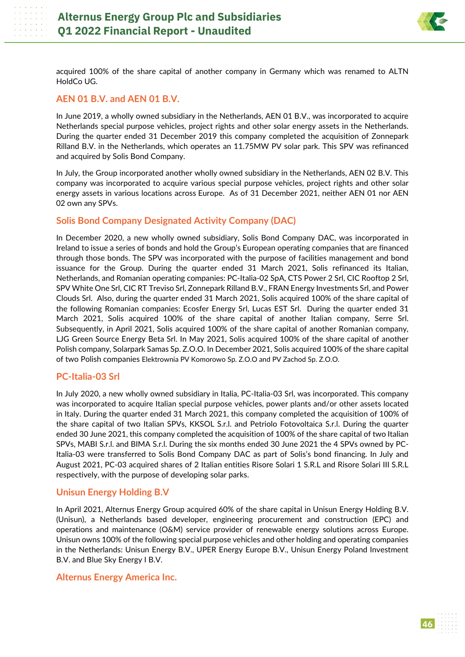

acquired 100% of the share capital of another company in Germany which was renamed to ALTN HoldCo UG.

## **AEN 01 B.V. and AEN 01 B.V.**

In June 2019, a wholly owned subsidiary in the Netherlands, AEN 01 B.V., was incorporated to acquire Netherlands special purpose vehicles, project rights and other solar energy assets in the Netherlands. During the quarter ended 31 December 2019 this company completed the acquisition of Zonnepark Rilland B.V. in the Netherlands, which operates an 11.75MW PV solar park. This SPV was refinanced and acquired by Solis Bond Company.

In July, the Group incorporated another wholly owned subsidiary in the Netherlands, AEN 02 B.V. This company was incorporated to acquire various special purpose vehicles, project rights and other solar energy assets in various locations across Europe. As of 31 December 2021, neither AEN 01 nor AEN 02 own any SPVs.

## **Solis Bond Company Designated Activity Company (DAC)**

In December 2020, a new wholly owned subsidiary, Solis Bond Company DAC, was incorporated in Ireland to issue a series of bonds and hold the Group's European operating companies that are financed through those bonds. The SPV was incorporated with the purpose of facilities management and bond issuance for the Group. During the quarter ended 31 March 2021, Solis refinanced its Italian, Netherlands, and Romanian operating companies: PC-Italia-02 SpA, CTS Power 2 Srl, CIC Rooftop 2 Srl, SPV White One Srl, CIC RT Treviso Srl, Zonnepark Rilland B.V., FRAN Energy Investments Srl, and Power Clouds Srl. Also, during the quarter ended 31 March 2021, Solis acquired 100% of the share capital of the following Romanian companies: Ecosfer Energy Srl, Lucas EST Srl. During the quarter ended 31 March 2021, Solis acquired 100% of the share capital of another Italian company, Serre Srl. Subsequently, in April 2021, Solis acquired 100% of the share capital of another Romanian company, LJG Green Source Energy Beta Srl. In May 2021, Solis acquired 100% of the share capital of another Polish company, Solarpark Samas Sp. Z.O.O. In December 2021, Solis acquired 100% of the share capital of two Polish companies Elektrownia PV Komorowo Sp. Z.O.O and PV Zachod Sp. Z.O.O.

#### **PC-Italia-03 Srl**

In July 2020, a new wholly owned subsidiary in Italia, PC-Italia-03 Srl, was incorporated. This company was incorporated to acquire Italian special purpose vehicles, power plants and/or other assets located in Italy. During the quarter ended 31 March 2021, this company completed the acquisition of 100% of the share capital of two Italian SPVs, KKSOL S.r.l. and Petriolo Fotovoltaica S.r.l. During the quarter ended 30 June 2021, this company completed the acquisition of 100% of the share capital of two Italian SPVs, MABI S.r.l. and BIMA S.r.l. During the six months ended 30 June 2021 the 4 SPVs owned by PC-Italia-03 were transferred to Solis Bond Company DAC as part of Solis's bond financing. In July and August 2021, PC-03 acquired shares of 2 Italian entities Risore Solari 1 S.R.L and Risore Solari III S.R.L respectively, with the purpose of developing solar parks.

#### **Unisun Energy Holding B.V**

In April 2021, Alternus Energy Group acquired 60% of the share capital in Unisun Energy Holding B.V. (Unisun), a Netherlands based developer, engineering procurement and construction (EPC) and operations and maintenance (O&M) service provider of renewable energy solutions across Europe. Unisun owns 100% of the following special purpose vehicles and other holding and operating companies in the Netherlands: Unisun Energy B.V., UPER Energy Europe B.V., Unisun Energy Poland Investment B.V. and Blue Sky Energy I B.V.

#### **Alternus Energy America Inc.**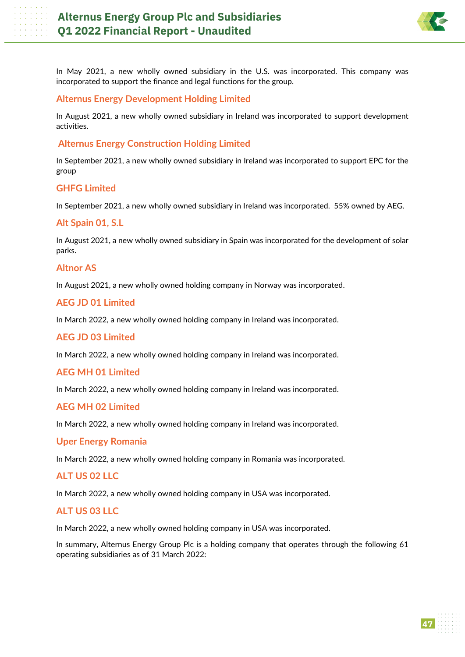

In May 2021, a new wholly owned subsidiary in the U.S. was incorporated. This company was incorporated to support the finance and legal functions for the group.

## **Alternus Energy Development Holding Limited**

In August 2021, a new wholly owned subsidiary in Ireland was incorporated to support development activities.

## **Alternus Energy Construction Holding Limited**

In September 2021, a new wholly owned subsidiary in Ireland was incorporated to support EPC for the group

#### **GHFG Limited**

In September 2021, a new wholly owned subsidiary in Ireland was incorporated. 55% owned by AEG.

#### **Alt Spain 01, S.L**

In August 2021, a new wholly owned subsidiary in Spain was incorporated for the development of solar parks.

#### **Altnor AS**

In August 2021, a new wholly owned holding company in Norway was incorporated.

## **AEG JD 01 Limited**

In March 2022, a new wholly owned holding company in Ireland was incorporated.

#### **AEG JD 03 Limited**

In March 2022, a new wholly owned holding company in Ireland was incorporated.

#### **AEG MH 01 Limited**

In March 2022, a new wholly owned holding company in Ireland was incorporated.

#### **AEG MH 02 Limited**

In March 2022, a new wholly owned holding company in Ireland was incorporated.

#### **Uper Energy Romania**

In March 2022, a new wholly owned holding company in Romania was incorporated.

#### **ALT US 02 LLC**

In March 2022, a new wholly owned holding company in USA was incorporated.

#### **ALT US 03 LLC**

In March 2022, a new wholly owned holding company in USA was incorporated.

In summary, Alternus Energy Group Plc is a holding company that operates through the following 61 operating subsidiaries as of 31 March 2022: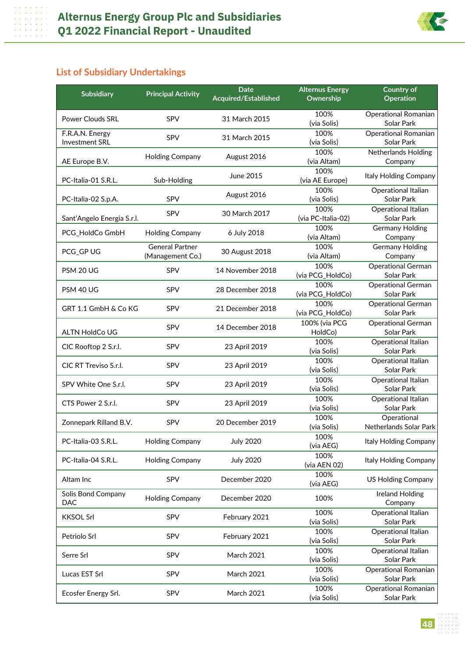

## **List of Subsidiary Undertakings**

| <b>Subsidiary</b>          | <b>Principal Activity</b> | <b>Date</b><br>Acquired/Established | <b>Alternus Energy</b><br>Ownership | <b>Country of</b><br>Operation    |
|----------------------------|---------------------------|-------------------------------------|-------------------------------------|-----------------------------------|
|                            |                           |                                     |                                     |                                   |
| <b>Power Clouds SRL</b>    | <b>SPV</b>                | 31 March 2015                       | 100%                                | Operational Romanian              |
|                            |                           |                                     | (via Solis)                         | Solar Park                        |
| F.R.A.N. Energy            | SPV                       | 31 March 2015                       | 100%                                | <b>Operational Romanian</b>       |
| <b>Investment SRL</b>      |                           |                                     | (via Solis)                         | Solar Park                        |
|                            | <b>Holding Company</b>    | August 2016                         | 100%<br>(via Altam)                 | <b>Netherlands Holding</b>        |
| AE Europe B.V.             |                           |                                     | 100%                                | Company                           |
| PC-Italia-01 S.R.L.        | Sub-Holding               | June 2015                           | (via AE Europe)                     | Italy Holding Company             |
|                            |                           |                                     | 100%                                | Operational Italian               |
| PC-Italia-02 S.p.A.        | SPV                       | August 2016                         | (via Solis)                         | Solar Park                        |
|                            |                           |                                     | 100%                                | Operational Italian               |
| Sant'Angelo Energia S.r.l. | SPV                       | 30 March 2017                       | (via PC-Italia-02)                  | Solar Park                        |
|                            |                           |                                     | 100%                                | <b>Germany Holding</b>            |
| PCG_HoldCo GmbH            | <b>Holding Company</b>    | 6 July 2018                         | (via Altam)                         | Company                           |
|                            | <b>General Partner</b>    |                                     | 100%                                | <b>Germany Holding</b>            |
| PCG_GP UG                  | (Management Co.)          | 30 August 2018                      | (via Altam)                         | Company                           |
|                            |                           |                                     | 100%                                | <b>Operational German</b>         |
| <b>PSM 20 UG</b>           | SPV                       | 14 November 2018                    | (via PCG_HoldCo)                    | Solar Park                        |
|                            |                           |                                     | 100%                                | <b>Operational German</b>         |
| PSM 40 UG                  | SPV                       | 28 December 2018                    | (via PCG_HoldCo)                    | Solar Park                        |
|                            |                           |                                     | 100%                                | <b>Operational German</b>         |
| GRT 1.1 GmbH & Co KG       | SPV                       | 21 December 2018                    | (via PCG_HoldCo)                    | Solar Park                        |
|                            |                           |                                     | 100% (via PCG                       | <b>Operational German</b>         |
| <b>ALTN HoldCo UG</b>      | SPV                       | 14 December 2018                    | HoldCo)                             | Solar Park                        |
|                            |                           |                                     | 100%                                | Operational Italian               |
| CIC Rooftop 2 S.r.l.       | SPV                       | 23 April 2019                       | (via Solis)                         | Solar Park                        |
| CIC RT Treviso S.r.l.      | SPV                       |                                     | 100%                                | Operational Italian               |
|                            |                           | 23 April 2019                       | (via Solis)                         | Solar Park                        |
| SPV White One S.r.l.       | SPV                       | 23 April 2019                       | 100%                                | Operational Italian               |
|                            |                           |                                     | (via Solis)                         | Solar Park                        |
| CTS Power 2 S.r.l.         | SPV                       | 23 April 2019                       | 100%                                | Operational Italian               |
|                            |                           |                                     | (via Solis)                         | Solar Park                        |
| Zonnepark Rilland B.V.     | SPV                       | 20 December 2019                    | 100%                                | Operational                       |
|                            |                           |                                     | (via Solis)                         | Netherlands Solar Park            |
| PC-Italia-03 S.R.L.        | <b>Holding Company</b>    | <b>July 2020</b>                    | 100%                                | Italy Holding Company             |
|                            |                           |                                     | (via AEG)                           |                                   |
| PC-Italia-04 S.R.L.        | <b>Holding Company</b>    | <b>July 2020</b>                    | 100%                                | Italy Holding Company             |
|                            |                           |                                     | (via AEN 02)                        |                                   |
| Altam Inc                  | SPV                       | December 2020                       | 100%                                | <b>US Holding Company</b>         |
|                            |                           |                                     | (via AEG)                           |                                   |
| Solis Bond Company         | <b>Holding Company</b>    | December 2020                       | 100%                                | <b>Ireland Holding</b>            |
| DAC                        |                           |                                     |                                     | Company                           |
| <b>KKSOL Srl</b>           | SPV                       | February 2021                       | 100%                                | Operational Italian               |
|                            |                           |                                     | (via Solis)                         | Solar Park                        |
| Petriolo Srl               | SPV                       | February 2021                       | 100%                                | Operational Italian               |
|                            |                           |                                     | (via Solis)<br>100%                 | Solar Park<br>Operational Italian |
| Serre Srl                  | SPV                       | March 2021                          | (via Solis)                         | Solar Park                        |
|                            |                           |                                     | 100%                                | <b>Operational Romanian</b>       |
| Lucas EST Srl              | SPV                       | <b>March 2021</b>                   | (via Solis)                         | Solar Park                        |
|                            |                           |                                     | 100%                                | Operational Romanian              |
| Ecosfer Energy Srl.        | SPV                       | March 2021                          | (via Solis)                         | Solar Park                        |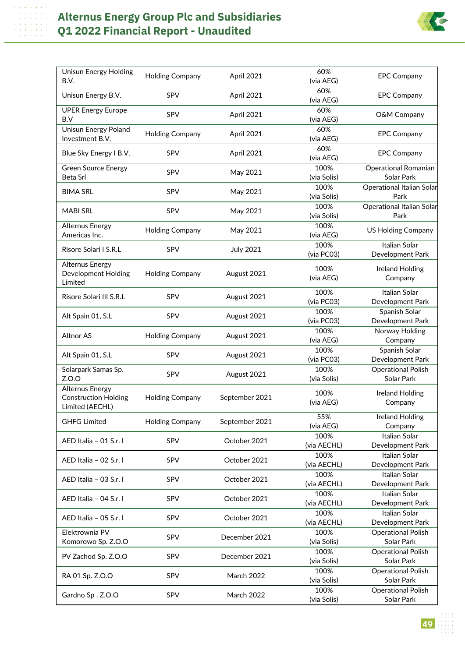

| Unisun Energy Holding<br>B.V.                                            | <b>Holding Company</b> | April 2021        | 60%<br>(via AEG)    | <b>EPC Company</b>                               |
|--------------------------------------------------------------------------|------------------------|-------------------|---------------------|--------------------------------------------------|
| Unisun Energy B.V.                                                       | SPV                    | April 2021        | 60%<br>(via AEG)    | <b>EPC Company</b>                               |
| <b>UPER Energy Europe</b><br>B.V                                         | <b>SPV</b>             | April 2021        | 60%<br>(via AEG)    | O&M Company                                      |
| <b>Unisun Energy Poland</b><br>Investment B.V.                           | <b>Holding Company</b> | April 2021        | 60%<br>(via AEG)    | <b>EPC Company</b>                               |
| Blue Sky Energy I B.V.                                                   | SPV                    | April 2021        | 60%<br>(via AEG)    | <b>EPC Company</b>                               |
| <b>Green Source Energy</b><br>Beta Srl                                   | <b>SPV</b>             | May 2021          | 100%<br>(via Solis) | <b>Operational Romanian</b><br><b>Solar Park</b> |
| BIMA SRL                                                                 | SPV                    | May 2021          | 100%<br>(via Solis) | Operational Italian Solar<br>Park                |
| <b>MABI SRL</b>                                                          | SPV                    | May 2021          | 100%<br>(via Solis) | Operational Italian Solar<br>Park                |
| <b>Alternus Energy</b><br>Americas Inc.                                  | <b>Holding Company</b> | May 2021          | 100%<br>(via AEG)   | <b>US Holding Company</b>                        |
| Risore Solari I S.R.L                                                    | SPV                    | <b>July 2021</b>  | 100%<br>(via PC03)  | Italian Solar<br>Development Park                |
| <b>Alternus Energy</b><br>Development Holding<br>Limited                 | <b>Holding Company</b> | August 2021       | 100%<br>(via AEG)   | Ireland Holding<br>Company                       |
| Risore Solari III S.R.L                                                  | SPV                    | August 2021       | 100%<br>(via PC03)  | Italian Solar<br>Development Park                |
| Alt Spain 01, S.L                                                        | SPV                    | August 2021       | 100%<br>(via PC03)  | Spanish Solar<br>Development Park                |
| <b>Altnor AS</b>                                                         | <b>Holding Company</b> | August 2021       | 100%<br>(via AEG)   | Norway Holding<br>Company                        |
| Alt Spain 01, S.L                                                        | SPV                    | August 2021       | 100%<br>(via PC03)  | Spanish Solar<br>Development Park                |
| Solarpark Samas Sp.<br>Z.O.O                                             | <b>SPV</b>             | August 2021       | 100%<br>(via Solis) | <b>Operational Polish</b><br>Solar Park          |
| <b>Alternus Energy</b><br><b>Construction Holding</b><br>Limited (AECHL) | <b>Holding Company</b> | September 2021    | 100%<br>(via AEG)   | Ireland Holding<br>Company                       |
| <b>GHFG Limited</b>                                                      | <b>Holding Company</b> | September 2021    | 55%<br>(via AEG)    | <b>Ireland Holding</b><br>Company                |
| AED Italia - 01 S.r. I                                                   | SPV                    | October 2021      | 100%<br>(via AECHL) | Italian Solar<br>Development Park                |
| AED Italia - 02 S.r. I                                                   | <b>SPV</b>             | October 2021      | 100%<br>(via AECHL) | Italian Solar<br>Development Park                |
| AED Italia - 03 S.r. I                                                   | <b>SPV</b>             | October 2021      | 100%<br>(via AECHL) | Italian Solar<br>Development Park                |
| AED Italia - 04 S.r. I                                                   | SPV                    | October 2021      | 100%<br>(via AECHL) | Italian Solar<br>Development Park                |
| AED Italia - 05 S.r. I                                                   | SPV                    | October 2021      | 100%<br>(via AECHL) | Italian Solar<br>Development Park                |
| Elektrownia PV<br>Komorowo Sp. Z.O.O                                     | SPV                    | December 2021     | 100%<br>(via Solis) | <b>Operational Polish</b><br>Solar Park          |
| PV Zachod Sp. Z.O.O                                                      | SPV                    | December 2021     | 100%<br>(via Solis) | <b>Operational Polish</b><br>Solar Park          |
| RA 01 Sp. Z.O.O                                                          | SPV                    | <b>March 2022</b> | 100%<br>(via Solis) | <b>Operational Polish</b><br>Solar Park          |
| Gardno Sp. Z.O.O                                                         | SPV                    | <b>March 2022</b> | 100%<br>(via Solis) | <b>Operational Polish</b><br>Solar Park          |